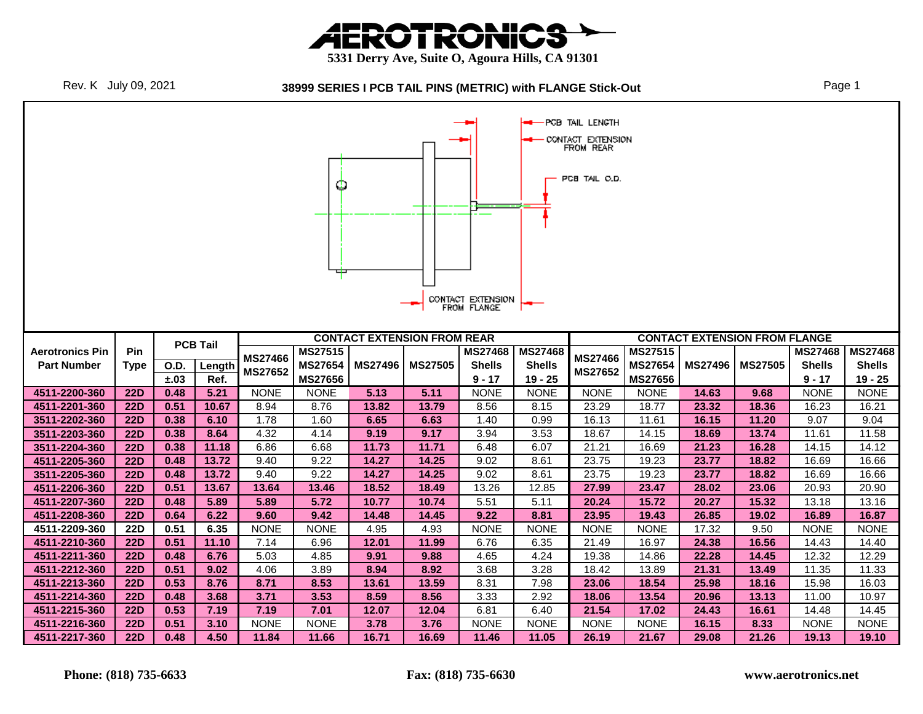





|                                |                   |                   |                 |                     | Ф                                |                |                                    | CONTACT EXTENSION<br>FROM FLANGE |                            | -PCB TAIL LENGTH<br>CONTACT EXTENSION<br>FROM REAR<br>PCB TAIL O.D. |                                  |                |                                      |                           |                          |
|--------------------------------|-------------------|-------------------|-----------------|---------------------|----------------------------------|----------------|------------------------------------|----------------------------------|----------------------------|---------------------------------------------------------------------|----------------------------------|----------------|--------------------------------------|---------------------------|--------------------------|
|                                |                   |                   | <b>PCB Tail</b> |                     |                                  |                | <b>CONTACT EXTENSION FROM REAR</b> |                                  |                            |                                                                     |                                  |                | <b>CONTACT EXTENSION FROM FLANGE</b> |                           |                          |
| <b>Aerotronics Pin</b>         | Pin               |                   |                 | <b>MS27466</b>      | <b>MS27515</b>                   |                |                                    | <b>MS27468</b>                   | <b>MS27468</b>             | <b>MS27466</b>                                                      | <b>MS27515</b>                   |                |                                      | <b>MS27468</b>            | <b>MS27468</b>           |
| <b>Part Number</b>             | <b>Type</b>       | O.D.<br>$\pm .03$ | Length<br>Ref.  | <b>MS27652</b>      | <b>MS27654</b><br><b>MS27656</b> | <b>MS27496</b> | <b>MS27505</b>                     | <b>Shells</b><br>$9 - 17$        | <b>Shells</b><br>$19 - 25$ | <b>MS27652</b>                                                      | <b>MS27654</b><br><b>MS27656</b> | <b>MS27496</b> | <b>MS27505</b>                       | <b>Shells</b><br>$9 - 17$ | <b>Shells</b><br>19 - 25 |
| 4511-2200-360                  | 22D               | 0.48              | 5.21            | <b>NONE</b>         | <b>NONE</b>                      | 5.13           | 5.11                               | <b>NONE</b>                      | <b>NONE</b>                | <b>NONE</b>                                                         | <b>NONE</b>                      | 14.63          | 9.68                                 | <b>NONE</b>               | <b>NONE</b>              |
| 4511-2201-360                  | 22D               | 0.51              | 10.67           | 8.94                | 8.76                             | 13.82          | 13.79                              | 8.56                             | 8.15                       | 23.29                                                               | 18.77                            | 23.32          | 18.36                                | 16.23                     | 16.21                    |
| 3511-2202-360                  | <b>22D</b>        | 0.38              | 6.10            | 1.78                | 1.60                             | 6.65           | 6.63                               | 1.40                             | 0.99                       | 16.13                                                               | 11.61                            | 16.15          | 11.20                                | 9.07                      | 9.04                     |
| 3511-2203-360                  | <b>22D</b>        | 0.38              | 8.64            | 4.32                | 4.14                             | 9.19           | 9.17                               | 3.94                             | 3.53                       | 18.67                                                               | 14.15                            | 18.69          | 13.74                                | 11.61                     | 11.58                    |
| 3511-2204-360                  | <b>22D</b>        | 0.38              | 11.18           | 6.86                | 6.68                             | 11.73          | 11.71                              | 6.48                             | 6.07                       | 21.21                                                               | 16.69                            | 21.23          | 16.28                                | 14.15                     | 14.12                    |
| 4511-2205-360                  | <b>22D</b>        | 0.48              | 13.72           | 9.40                | 9.22                             | 14.27          | 14.25                              | 9.02                             | 8.61                       | 23.75                                                               | 19.23                            | 23.77          | 18.82                                | 16.69                     | 16.66                    |
| 3511-2205-360                  | 22D               | 0.48              | 13.72           | 9.40                | 9.22                             | 14.27          | 14.25                              | 9.02                             | 8.61                       | 23.75                                                               | 19.23                            | 23.77          | 18.82                                | 16.69                     | 16.66                    |
| 4511-2206-360                  | <b>22D</b>        | 0.51              | 13.67           | 13.64               | 13.46                            | 18.52          | 18.49                              | 13.26                            | 12.85                      | 27.99                                                               | 23.47                            | 28.02          | 23.06                                | 20.93                     | 20.90                    |
| 4511-2207-360                  | 22D               | 0.48              | 5.89            | 5.89                | 5.72                             | 10.77          | 10.74                              | 5.51                             | 5.11                       | 20.24                                                               | 15.72                            | 20.27          | 15.32                                | 13.18                     | 13.16                    |
| 4511-2208-360                  | <b>22D</b>        | 0.64              | 6.22            | 9.60                | 9.42                             | 14.48          | 14.45                              | 9.22                             | 8.81                       | 23.95                                                               | 19.43                            | 26.85          | 19.02                                | 16.89                     | 16.87                    |
| 4511-2209-360                  | <b>22D</b>        | 0.51              | 6.35            | <b>NONE</b>         | <b>NONE</b>                      | 4.95           | 4.93                               | <b>NONE</b>                      | <b>NONE</b>                | <b>NONE</b>                                                         | <b>NONE</b>                      | 17.32          | 9.50                                 | <b>NONE</b>               | <b>NONE</b>              |
| 4511-2210-360                  | <b>22D</b>        | 0.51              | 11.10           | 7.14                | 6.96                             | 12.01          | 11.99                              | 6.76                             | 6.35                       | 21.49                                                               | 16.97                            | 24.38          | 16.56                                | 14.43                     | 14.40                    |
| 4511-2211-360                  | <b>22D</b>        | 0.48              | 6.76<br>9.02    | 5.03<br>4.06        | 4.85                             | 9.91<br>8.94   | 9.88<br>8.92                       | 4.65<br>3.68                     | 4.24<br>3.28               | 19.38<br>18.42                                                      | 14.86                            | 22.28          | 14.45                                | 12.32                     | 12.29                    |
| 4511-2212-360                  | <b>22D</b>        | 0.51              |                 |                     | 3.89                             |                |                                    |                                  |                            |                                                                     | 13.89                            | 21.31          | 13.49                                | 11.35                     | 11.33                    |
| 4511-2213-360<br>4511-2214-360 |                   |                   |                 |                     |                                  |                |                                    |                                  |                            |                                                                     |                                  |                |                                      |                           |                          |
|                                | 22D               | 0.53              | 8.76            | 8.71                | 8.53                             | 13.61          | 13.59                              | 8.31                             | 7.98                       | 23.06                                                               | 18.54                            | 25.98          | 18.16                                | 15.98                     | 16.03                    |
|                                | <b>22D</b>        | 0.48              | 3.68            | 3.71                | 3.53                             | 8.59           | 8.56                               | 3.33                             | 2.92                       | 18.06                                                               | 13.54                            | 20.96          | 13.13                                | 11.00                     | 10.97                    |
| 4511-2215-360<br>4511-2216-360 | 22D<br><b>22D</b> | 0.53<br>0.51      | 7.19<br>3.10    | 7.19<br><b>NONE</b> | 7.01<br><b>NONE</b>              | 12.07<br>3.78  | 12.04<br>3.76                      | 6.81<br><b>NONE</b>              | 6.40<br><b>NONE</b>        | 21.54<br><b>NONE</b>                                                | 17.02<br><b>NONE</b>             | 24.43<br>16.15 | 16.61<br>8.33                        | 14.48<br><b>NONE</b>      | 14.45<br><b>NONE</b>     |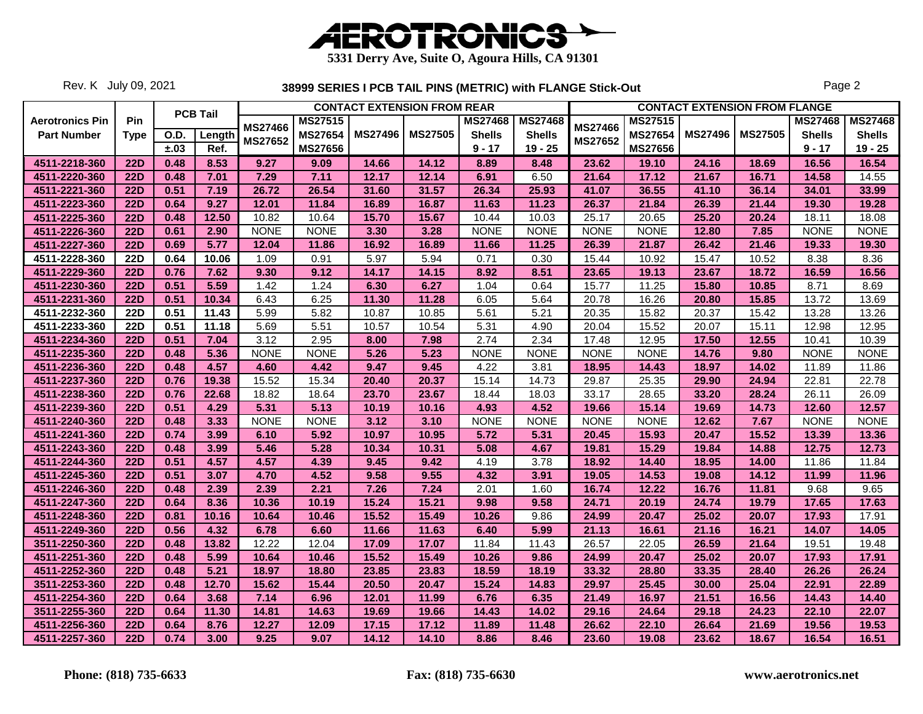

Rev. K July 09, 2021

|                        |             |      |                 |                |                |                | <b>CONTACT EXTENSION FROM REAR</b> |                |                |                |                |                | <b>CONTACT EXTENSION FROM FLANGE</b> |                |                |
|------------------------|-------------|------|-----------------|----------------|----------------|----------------|------------------------------------|----------------|----------------|----------------|----------------|----------------|--------------------------------------|----------------|----------------|
| <b>Aerotronics Pin</b> | Pin         |      | <b>PCB Tail</b> | <b>MS27466</b> | <b>MS27515</b> |                |                                    | <b>MS27468</b> | <b>MS27468</b> | <b>MS27466</b> | <b>MS27515</b> |                |                                      | <b>MS27468</b> | <b>MS27468</b> |
| <b>Part Number</b>     | <b>Type</b> | O.D. | Length          | <b>MS27652</b> | <b>MS27654</b> | <b>MS27496</b> | <b>MS27505</b>                     | <b>Shells</b>  | <b>Shells</b>  | <b>MS27652</b> | <b>MS27654</b> | <b>MS27496</b> | <b>MS27505</b>                       | <b>Shells</b>  | <b>Shells</b>  |
|                        |             | ±.03 | Ref.            |                | <b>MS27656</b> |                |                                    | $9 - 17$       | $19 - 25$      |                | <b>MS27656</b> |                |                                      | $9 - 17$       | $19 - 25$      |
| 4511-2218-360          | <b>22D</b>  | 0.48 | 8.53            | 9.27           | 9.09           | 14.66          | 14.12                              | 8.89           | 8.48           | 23.62          | 19.10          | 24.16          | 18.69                                | 16.56          | 16.54          |
| 4511-2220-360          | <b>22D</b>  | 0.48 | 7.01            | 7.29           | 7.11           | 12.17          | 12.14                              | 6.91           | 6.50           | 21.64          | 17.12          | 21.67          | 16.71                                | 14.58          | 14.55          |
| 4511-2221-360          | <b>22D</b>  | 0.51 | 7.19            | 26.72          | 26.54          | 31.60          | 31.57                              | 26.34          | 25.93          | 41.07          | 36.55          | 41.10          | 36.14                                | 34.01          | 33.99          |
| 4511-2223-360          | <b>22D</b>  | 0.64 | 9.27            | 12.01          | 11.84          | 16.89          | 16.87                              | 11.63          | 11.23          | 26.37          | 21.84          | 26.39          | 21.44                                | 19.30          | 19.28          |
| 4511-2225-360          | <b>22D</b>  | 0.48 | 12.50           | 10.82          | 10.64          | 15.70          | 15.67                              | 10.44          | 10.03          | 25.17          | 20.65          | 25.20          | 20.24                                | 18.11          | 18.08          |
| 4511-2226-360          | <b>22D</b>  | 0.61 | 2.90            | <b>NONE</b>    | <b>NONE</b>    | 3.30           | 3.28                               | <b>NONE</b>    | <b>NONE</b>    | <b>NONE</b>    | <b>NONE</b>    | 12.80          | 7.85                                 | <b>NONE</b>    | <b>NONE</b>    |
| 4511-2227-360          | <b>22D</b>  | 0.69 | 5.77            | 12.04          | 11.86          | 16.92          | 16.89                              | 11.66          | 11.25          | 26.39          | 21.87          | 26.42          | 21.46                                | 19.33          | 19.30          |
| 4511-2228-360          | <b>22D</b>  | 0.64 | 10.06           | 1.09           | 0.91           | 5.97           | 5.94                               | 0.71           | 0.30           | 15.44          | 10.92          | 15.47          | 10.52                                | 8.38           | 8.36           |
| 4511-2229-360          | <b>22D</b>  | 0.76 | 7.62            | 9.30           | 9.12           | 14.17          | 14.15                              | 8.92           | 8.51           | 23.65          | 19.13          | 23.67          | 18.72                                | 16.59          | 16.56          |
| 4511-2230-360          | <b>22D</b>  | 0.51 | 5.59            | 1.42           | 1.24           | 6.30           | 6.27                               | 1.04           | 0.64           | 15.77          | 11.25          | 15.80          | 10.85                                | 8.71           | 8.69           |
| 4511-2231-360          | <b>22D</b>  | 0.51 | 10.34           | 6.43           | 6.25           | 11.30          | 11.28                              | 6.05           | 5.64           | 20.78          | 16.26          | 20.80          | 15.85                                | 13.72          | 13.69          |
| 4511-2232-360          | <b>22D</b>  | 0.51 | 11.43           | 5.99           | 5.82           | 10.87          | 10.85                              | 5.61           | 5.21           | 20.35          | 15.82          | 20.37          | 15.42                                | 13.28          | 13.26          |
| 4511-2233-360          | <b>22D</b>  | 0.51 | 11.18           | 5.69           | 5.51           | 10.57          | 10.54                              | 5.31           | 4.90           | 20.04          | 15.52          | 20.07          | 15.11                                | 12.98          | 12.95          |
| 4511-2234-360          | <b>22D</b>  | 0.51 | 7.04            | 3.12           | 2.95           | 8.00           | 7.98                               | 2.74           | 2.34           | 17.48          | 12.95          | 17.50          | 12.55                                | 10.41          | 10.39          |
| 4511-2235-360          | <b>22D</b>  | 0.48 | 5.36            | <b>NONE</b>    | <b>NONE</b>    | 5.26           | 5.23                               | <b>NONE</b>    | <b>NONE</b>    | <b>NONE</b>    | <b>NONE</b>    | 14.76          | 9.80                                 | <b>NONE</b>    | <b>NONE</b>    |
| 4511-2236-360          | <b>22D</b>  | 0.48 | 4.57            | 4.60           | 4.42           | 9.47           | 9.45                               | 4.22           | 3.81           | 18.95          | 14.43          | 18.97          | 14.02                                | 11.89          | 11.86          |
| 4511-2237-360          | <b>22D</b>  | 0.76 | 19.38           | 15.52          | 15.34          | 20.40          | 20.37                              | 15.14          | 14.73          | 29.87          | 25.35          | 29.90          | 24.94                                | 22.81          | 22.78          |
| 4511-2238-360          | <b>22D</b>  | 0.76 | 22.68           | 18.82          | 18.64          | 23.70          | 23.67                              | 18.44          | 18.03          | 33.17          | 28.65          | 33.20          | 28.24                                | 26.11          | 26.09          |
| 4511-2239-360          | <b>22D</b>  | 0.51 | 4.29            | 5.31           | 5.13           | 10.19          | 10.16                              | 4.93           | 4.52           | 19.66          | 15.14          | 19.69          | 14.73                                | 12.60          | 12.57          |
| 4511-2240-360          | <b>22D</b>  | 0.48 | 3.33            | <b>NONE</b>    | <b>NONE</b>    | 3.12           | 3.10                               | <b>NONE</b>    | <b>NONE</b>    | <b>NONE</b>    | <b>NONE</b>    | 12.62          | 7.67                                 | <b>NONE</b>    | <b>NONE</b>    |
| 4511-2241-360          | <b>22D</b>  | 0.74 | 3.99            | 6.10           | 5.92           | 10.97          | 10.95                              | 5.72           | 5.31           | 20.45          | 15.93          | 20.47          | 15.52                                | 13.39          | 13.36          |
| 4511-2243-360          | <b>22D</b>  | 0.48 | 3.99            | 5.46           | 5.28           | 10.34          | 10.31                              | 5.08           | 4.67           | 19.81          | 15.29          | 19.84          | 14.88                                | 12.75          | 12.73          |
| 4511-2244-360          | <b>22D</b>  | 0.51 | 4.57            | 4.57           | 4.39           | 9.45           | 9.42                               | 4.19           | 3.78           | 18.92          | 14.40          | 18.95          | 14.00                                | 11.86          | 11.84          |
| 4511-2245-360          | <b>22D</b>  | 0.51 | 3.07            | 4.70           | 4.52           | 9.58           | 9.55                               | 4.32           | 3.91           | 19.05          | 14.53          | 19.08          | 14.12                                | 11.99          | 11.96          |
| 4511-2246-360          | <b>22D</b>  | 0.48 | 2.39            | 2.39           | 2.21           | 7.26           | 7.24                               | 2.01           | 1.60           | 16.74          | 12.22          | 16.76          | 11.81                                | 9.68           | 9.65           |
| 4511-2247-360          | <b>22D</b>  | 0.64 | 8.36            | 10.36          | 10.19          | 15.24          | 15.21                              | 9.98           | 9.58           | 24.71          | 20.19          | 24.74          | 19.79                                | 17.65          | 17.63          |
| 4511-2248-360          | <b>22D</b>  | 0.81 | 10.16           | 10.64          | 10.46          | 15.52          | 15.49                              | 10.26          | 9.86           | 24.99          | 20.47          | 25.02          | 20.07                                | 17.93          | 17.91          |
| 4511-2249-360          | <b>22D</b>  | 0.56 | 4.32            | 6.78           | 6.60           | 11.66          | 11.63                              | 6.40           | 5.99           | 21.13          | 16.61          | 21.16          | 16.21                                | 14.07          | 14.05          |
| 3511-2250-360          | <b>22D</b>  | 0.48 | 13.82           | 12.22          | 12.04          | 17.09          | 17.07                              | 11.84          | 11.43          | 26.57          | 22.05          | 26.59          | 21.64                                | 19.51          | 19.48          |
| 4511-2251-360          | <b>22D</b>  | 0.48 | 5.99            | 10.64          | 10.46          | 15.52          | 15.49                              | 10.26          | 9.86           | 24.99          | 20.47          | 25.02          | 20.07                                | 17.93          | 17.91          |
| 4511-2252-360          | <b>22D</b>  | 0.48 | 5.21            | 18.97          | 18.80          | 23.85          | 23.83                              | 18.59          | 18.19          | 33.32          | 28.80          | 33.35          | 28.40                                | 26.26          | 26.24          |
| 3511-2253-360          | <b>22D</b>  | 0.48 | 12.70           | 15.62          | 15.44          | 20.50          | 20.47                              | 15.24          | 14.83          | 29.97          | 25.45          | 30.00          | 25.04                                | 22.91          | 22.89          |
| 4511-2254-360          | <b>22D</b>  | 0.64 | 3.68            | 7.14           | 6.96           | 12.01          | 11.99                              | 6.76           | 6.35           | 21.49          | 16.97          | 21.51          | 16.56                                | 14.43          | 14.40          |
| 3511-2255-360          | <b>22D</b>  | 0.64 | 11.30           | 14.81          | 14.63          | 19.69          | 19.66                              | 14.43          | 14.02          | 29.16          | 24.64          | 29.18          | 24.23                                | 22.10          | 22.07          |
| 4511-2256-360          | <b>22D</b>  | 0.64 | 8.76            | 12.27          | 12.09          | 17.15          | 17.12                              | 11.89          | 11.48          | 26.62          | 22.10          | 26.64          | 21.69                                | 19.56          | 19.53          |
| 4511-2257-360          | <b>22D</b>  | 0.74 | 3.00            | 9.25           | 9.07           | 14.12          | 14.10                              | 8.86           | 8.46           | 23.60          | 19.08          | 23.62          | 18.67                                | 16.54          | 16.51          |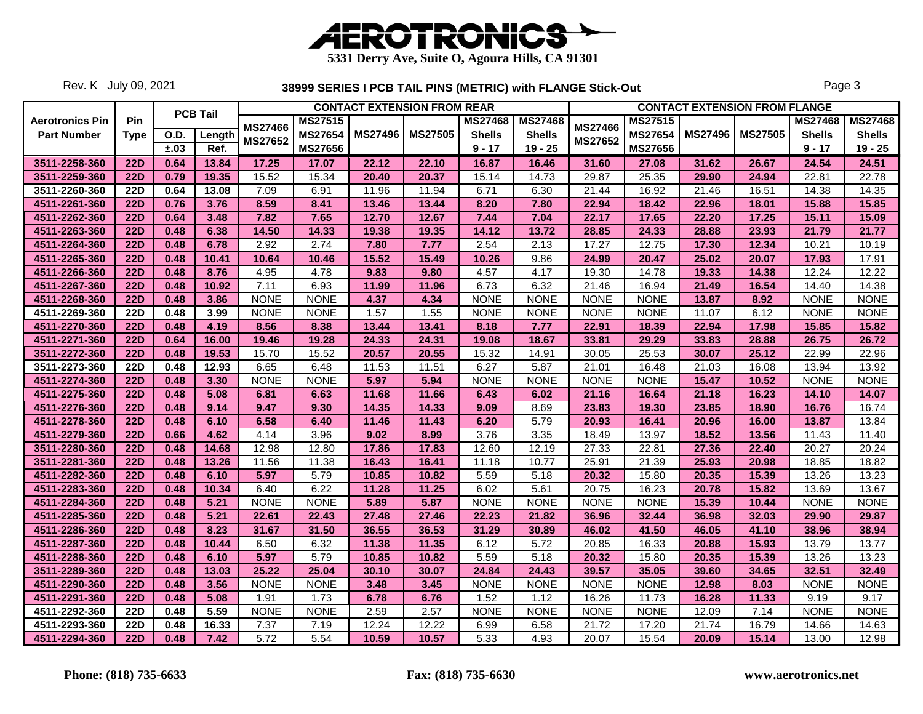

Rev. K July 09, 2021

|                        |            |             |                 |                |                |                | <b>CONTACT EXTENSION FROM REAR</b> |                |                |                |                |                | <b>CONTACT EXTENSION FROM FLANGE</b> |                |                |
|------------------------|------------|-------------|-----------------|----------------|----------------|----------------|------------------------------------|----------------|----------------|----------------|----------------|----------------|--------------------------------------|----------------|----------------|
| <b>Aerotronics Pin</b> | <b>Pin</b> |             | <b>PCB Tail</b> |                | <b>MS27515</b> |                |                                    | <b>MS27468</b> | <b>MS27468</b> |                | <b>MS27515</b> |                |                                      | <b>MS27468</b> | <b>MS27468</b> |
| <b>Part Number</b>     | Type       | <b>O.D.</b> | Length          | MS27466        | <b>MS27654</b> | <b>MS27496</b> | <b>MS27505</b>                     | <b>Shells</b>  | <b>Shells</b>  | MS27466        | <b>MS27654</b> | <b>MS27496</b> | <b>MS27505</b>                       | <b>Shells</b>  | <b>Shells</b>  |
|                        |            | ±.03        | Ref.            | <b>MS27652</b> | <b>MS27656</b> |                |                                    | $9 - 17$       | $19 - 25$      | <b>MS27652</b> | <b>MS27656</b> |                |                                      | $9 - 17$       | $19 - 25$      |
| 3511-2258-360          | 22D        | 0.64        | 13.84           | 17.25          | 17.07          | 22.12          | 22.10                              | 16.87          | 16.46          | 31.60          | 27.08          | 31.62          | 26.67                                | 24.54          | 24.51          |
| 3511-2259-360          | <b>22D</b> | 0.79        | 19.35           | 15.52          | 15.34          | 20.40          | 20.37                              | 15.14          | 14.73          | 29.87          | 25.35          | 29.90          | 24.94                                | 22.81          | 22.78          |
| 3511-2260-360          | <b>22D</b> | 0.64        | 13.08           | 7.09           | 6.91           | 11.96          | 11.94                              | 6.71           | 6.30           | 21.44          | 16.92          | 21.46          | 16.51                                | 14.38          | 14.35          |
| 4511-2261-360          | <b>22D</b> | 0.76        | 3.76            | 8.59           | 8.41           | 13.46          | 13.44                              | 8.20           | 7.80           | 22.94          | 18.42          | 22.96          | 18.01                                | 15.88          | 15.85          |
| 4511-2262-360          | <b>22D</b> | 0.64        | 3.48            | 7.82           | 7.65           | 12.70          | 12.67                              | 7.44           | 7.04           | 22.17          | 17.65          | 22.20          | 17.25                                | 15.11          | 15.09          |
| 4511-2263-360          | <b>22D</b> | 0.48        | 6.38            | 14.50          | 14.33          | 19.38          | 19.35                              | 14.12          | 13.72          | 28.85          | 24.33          | 28.88          | 23.93                                | 21.79          | 21.77          |
| 4511-2264-360          | <b>22D</b> | 0.48        | 6.78            | 2.92           | 2.74           | 7.80           | 7.77                               | 2.54           | 2.13           | 17.27          | 12.75          | 17.30          | 12.34                                | 10.21          | 10.19          |
| 4511-2265-360          | <b>22D</b> | 0.48        | 10.41           | 10.64          | 10.46          | 15.52          | 15.49                              | 10.26          | 9.86           | 24.99          | 20.47          | 25.02          | 20.07                                | 17.93          | 17.91          |
| 4511-2266-360          | <b>22D</b> | 0.48        | 8.76            | 4.95           | 4.78           | 9.83           | 9.80                               | 4.57           | 4.17           | 19.30          | 14.78          | 19.33          | 14.38                                | 12.24          | 12.22          |
| 4511-2267-360          | <b>22D</b> | 0.48        | 10.92           | 7.11           | 6.93           | 11.99          | 11.96                              | 6.73           | 6.32           | 21.46          | 16.94          | 21.49          | 16.54                                | 14.40          | 14.38          |
| 4511-2268-360          | <b>22D</b> | 0.48        | 3.86            | <b>NONE</b>    | <b>NONE</b>    | 4.37           | 4.34                               | <b>NONE</b>    | <b>NONE</b>    | <b>NONE</b>    | <b>NONE</b>    | 13.87          | 8.92                                 | <b>NONE</b>    | <b>NONE</b>    |
| 4511-2269-360          | <b>22D</b> | 0.48        | 3.99            | <b>NONE</b>    | <b>NONE</b>    | 1.57           | 1.55                               | <b>NONE</b>    | <b>NONE</b>    | <b>NONE</b>    | <b>NONE</b>    | 11.07          | 6.12                                 | <b>NONE</b>    | <b>NONE</b>    |
| 4511-2270-360          | <b>22D</b> | 0.48        | 4.19            | 8.56           | 8.38           | 13.44          | 13.41                              | 8.18           | 7.77           | 22.91          | 18.39          | 22.94          | 17.98                                | 15.85          | 15.82          |
| 4511-2271-360          | <b>22D</b> | 0.64        | 16.00           | 19.46          | 19.28          | 24.33          | 24.31                              | 19.08          | 18.67          | 33.81          | 29.29          | 33.83          | 28.88                                | 26.75          | 26.72          |
| 3511-2272-360          | <b>22D</b> | 0.48        | 19.53           | 15.70          | 15.52          | 20.57          | 20.55                              | 15.32          | 14.91          | 30.05          | 25.53          | 30.07          | 25.12                                | 22.99          | 22.96          |
| 3511-2273-360          | <b>22D</b> | 0.48        | 12.93           | 6.65           | 6.48           | 11.53          | 11.51                              | 6.27           | 5.87           | 21.01          | 16.48          | 21.03          | 16.08                                | 13.94          | 13.92          |
| 4511-2274-360          | <b>22D</b> | 0.48        | 3.30            | <b>NONE</b>    | <b>NONE</b>    | 5.97           | 5.94                               | <b>NONE</b>    | <b>NONE</b>    | <b>NONE</b>    | <b>NONE</b>    | 15.47          | 10.52                                | <b>NONE</b>    | <b>NONE</b>    |
| 4511-2275-360          | <b>22D</b> | 0.48        | 5.08            | 6.81           | 6.63           | 11.68          | 11.66                              | 6.43           | 6.02           | 21.16          | 16.64          | 21.18          | 16.23                                | 14.10          | 14.07          |
| 4511-2276-360          | <b>22D</b> | 0.48        | 9.14            | 9.47           | 9.30           | 14.35          | 14.33                              | 9.09           | 8.69           | 23.83          | 19.30          | 23.85          | 18.90                                | 16.76          | 16.74          |
| 4511-2278-360          | <b>22D</b> | 0.48        | 6.10            | 6.58           | 6.40           | 11.46          | 11.43                              | 6.20           | 5.79           | 20.93          | 16.41          | 20.96          | 16.00                                | 13.87          | 13.84          |
| 4511-2279-360          | 22D        | 0.66        | 4.62            | 4.14           | 3.96           | 9.02           | 8.99                               | 3.76           | 3.35           | 18.49          | 13.97          | 18.52          | 13.56                                | 11.43          | 11.40          |
| 3511-2280-360          | <b>22D</b> | 0.48        | 14.68           | 12.98          | 12.80          | 17.86          | 17.83                              | 12.60          | 12.19          | 27.33          | 22.81          | 27.36          | 22.40                                | 20.27          | 20.24          |
| 3511-2281-360          | <b>22D</b> | 0.48        | 13.26           | 11.56          | 11.38          | 16.43          | 16.41                              | 11.18          | 10.77          | 25.91          | 21.39          | 25.93          | 20.98                                | 18.85          | 18.82          |
| 4511-2282-360          | <b>22D</b> | 0.48        | 6.10            | 5.97           | 5.79           | 10.85          | 10.82                              | 5.59           | 5.18           | 20.32          | 15.80          | 20.35          | 15.39                                | 13.26          | 13.23          |
| 4511-2283-360          | <b>22D</b> | 0.48        | 10.34           | 6.40           | 6.22           | 11.28          | 11.25                              | 6.02           | 5.61           | 20.75          | 16.23          | 20.78          | 15.82                                | 13.69          | 13.67          |
| 4511-2284-360          | <b>22D</b> | 0.48        | 5.21            | <b>NONE</b>    | <b>NONE</b>    | 5.89           | 5.87                               | <b>NONE</b>    | <b>NONE</b>    | <b>NONE</b>    | <b>NONE</b>    | 15.39          | 10.44                                | <b>NONE</b>    | <b>NONE</b>    |
| 4511-2285-360          | <b>22D</b> | 0.48        | 5.21            | 22.61          | 22.43          | 27.48          | 27.46                              | 22.23          | 21.82          | 36.96          | 32.44          | 36.98          | 32.03                                | 29.90          | 29.87          |
| 4511-2286-360          | <b>22D</b> | 0.48        | 8.23            | 31.67          | 31.50          | 36.55          | 36.53                              | 31.29          | 30.89          | 46.02          | 41.50          | 46.05          | 41.10                                | 38.96          | 38.94          |
| 4511-2287-360          | <b>22D</b> | 0.48        | 10.44           | 6.50           | 6.32           | 11.38          | 11.35                              | 6.12           | 5.72           | 20.85          | 16.33          | 20.88          | 15.93                                | 13.79          | 13.77          |
| 4511-2288-360          | <b>22D</b> | 0.48        | 6.10            | 5.97           | 5.79           | 10.85          | 10.82                              | 5.59           | 5.18           | 20.32          | 15.80          | 20.35          | 15.39                                | 13.26          | 13.23          |
| 3511-2289-360          | <b>22D</b> | 0.48        | 13.03           | 25.22          | 25.04          | 30.10          | 30.07                              | 24.84          | 24.43          | 39.57          | 35.05          | 39.60          | 34.65                                | 32.51          | 32.49          |
| 4511-2290-360          | <b>22D</b> | 0.48        | 3.56            | <b>NONE</b>    | <b>NONE</b>    | 3.48           | 3.45                               | <b>NONE</b>    | <b>NONE</b>    | <b>NONE</b>    | <b>NONE</b>    | 12.98          | 8.03                                 | <b>NONE</b>    | <b>NONE</b>    |
| 4511-2291-360          | <b>22D</b> | 0.48        | 5.08            | 1.91           | 1.73           | 6.78           | 6.76                               | 1.52           | 1.12           | 16.26          | 11.73          | 16.28          | 11.33                                | 9.19           | 9.17           |
| 4511-2292-360          | 22D        | 0.48        | 5.59            | <b>NONE</b>    | <b>NONE</b>    | 2.59           | 2.57                               | <b>NONE</b>    | <b>NONE</b>    | <b>NONE</b>    | <b>NONE</b>    | 12.09          | 7.14                                 | <b>NONE</b>    | <b>NONE</b>    |
| 4511-2293-360          | <b>22D</b> | 0.48        | 16.33           | 7.37           | 7.19           | 12.24          | 12.22                              | 6.99           | 6.58           | 21.72          | 17.20          | 21.74          | 16.79                                | 14.66          | 14.63          |
| 4511-2294-360          | <b>22D</b> | 0.48        | 7.42            | 5.72           | 5.54           | 10.59          | 10.57                              | 5.33           | 4.93           | 20.07          | 15.54          | 20.09          | 15.14                                | 13.00          | 12.98          |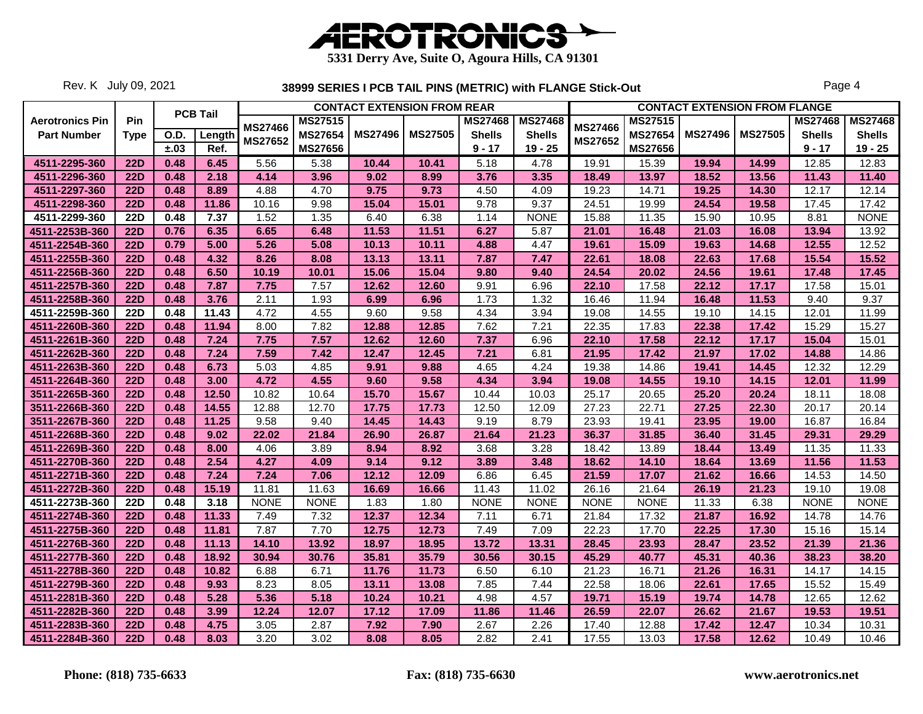

Rev. K July 09, 2021

|                        |             |      |                 |                |                |                | <b>CONTACT EXTENSION FROM REAR</b> |                |                |                           |                |                | <b>CONTACT EXTENSION FROM FLANGE</b> |                |                |
|------------------------|-------------|------|-----------------|----------------|----------------|----------------|------------------------------------|----------------|----------------|---------------------------|----------------|----------------|--------------------------------------|----------------|----------------|
| <b>Aerotronics Pin</b> | Pin         |      | <b>PCB Tail</b> |                | <b>MS27515</b> |                |                                    | <b>MS27468</b> | <b>MS27468</b> |                           | <b>MS27515</b> |                |                                      | <b>MS27468</b> | <b>MS27468</b> |
| <b>Part Number</b>     | <b>Type</b> | O.D. | Length          | <b>MS27466</b> | <b>MS27654</b> | <b>MS27496</b> | <b>MS27505</b>                     | <b>Shells</b>  | <b>Shells</b>  | <b>MS27466</b><br>MS27652 | <b>MS27654</b> | <b>MS27496</b> | <b>MS27505</b>                       | <b>Shells</b>  | <b>Shells</b>  |
|                        |             | ±.03 | Ref.            | <b>MS27652</b> | <b>MS27656</b> |                |                                    | $9 - 17$       | $19 - 25$      |                           | <b>MS27656</b> |                |                                      | $9 - 17$       | $19 - 25$      |
| 4511-2295-360          | <b>22D</b>  | 0.48 | 6.45            | 5.56           | 5.38           | 10.44          | 10.41                              | 5.18           | 4.78           | 19.91                     | 15.39          | 19.94          | 14.99                                | 12.85          | 12.83          |
| 4511-2296-360          | <b>22D</b>  | 0.48 | 2.18            | 4.14           | 3.96           | 9.02           | 8.99                               | 3.76           | 3.35           | 18.49                     | 13.97          | 18.52          | 13.56                                | 11.43          | 11.40          |
| 4511-2297-360          | <b>22D</b>  | 0.48 | 8.89            | 4.88           | 4.70           | 9.75           | 9.73                               | 4.50           | 4.09           | 19.23                     | 14.71          | 19.25          | 14.30                                | 12.17          | 12.14          |
| 4511-2298-360          | <b>22D</b>  | 0.48 | 11.86           | 10.16          | 9.98           | 15.04          | 15.01                              | 9.78           | 9.37           | 24.51                     | 19.99          | 24.54          | 19.58                                | 17.45          | 17.42          |
| 4511-2299-360          | <b>22D</b>  | 0.48 | 7.37            | 1.52           | 1.35           | 6.40           | 6.38                               | 1.14           | <b>NONE</b>    | 15.88                     | 11.35          | 15.90          | 10.95                                | 8.81           | <b>NONE</b>    |
| 4511-2253B-360         | <b>22D</b>  | 0.76 | 6.35            | 6.65           | 6.48           | 11.53          | 11.51                              | 6.27           | 5.87           | 21.01                     | 16.48          | 21.03          | 16.08                                | 13.94          | 13.92          |
| 4511-2254B-360         | <b>22D</b>  | 0.79 | 5.00            | 5.26           | 5.08           | 10.13          | 10.11                              | 4.88           | 4.47           | 19.61                     | 15.09          | 19.63          | 14.68                                | 12.55          | 12.52          |
| 4511-2255B-360         | <b>22D</b>  | 0.48 | 4.32            | 8.26           | 8.08           | 13.13          | 13.11                              | 7.87           | 7.47           | 22.61                     | 18.08          | 22.63          | 17.68                                | 15.54          | 15.52          |
| 4511-2256B-360         | <b>22D</b>  | 0.48 | 6.50            | 10.19          | 10.01          | 15.06          | 15.04                              | 9.80           | 9.40           | 24.54                     | 20.02          | 24.56          | 19.61                                | 17.48          | 17.45          |
| 4511-2257B-360         | <b>22D</b>  | 0.48 | 7.87            | 7.75           | 7.57           | 12.62          | 12.60                              | 9.91           | 6.96           | 22.10                     | 17.58          | 22.12          | 17.17                                | 17.58          | 15.01          |
| 4511-2258B-360         | <b>22D</b>  | 0.48 | 3.76            | 2.11           | 1.93           | 6.99           | 6.96                               | 1.73           | 1.32           | 16.46                     | 11.94          | 16.48          | 11.53                                | 9.40           | 9.37           |
| 4511-2259B-360         | <b>22D</b>  | 0.48 | 11.43           | 4.72           | 4.55           | 9.60           | 9.58                               | 4.34           | 3.94           | 19.08                     | 14.55          | 19.10          | 14.15                                | 12.01          | 11.99          |
| 4511-2260B-360         | <b>22D</b>  | 0.48 | 11.94           | 8.00           | 7.82           | 12.88          | 12.85                              | 7.62           | 7.21           | 22.35                     | 17.83          | 22.38          | 17.42                                | 15.29          | 15.27          |
| 4511-2261B-360         | <b>22D</b>  | 0.48 | 7.24            | 7.75           | 7.57           | 12.62          | 12.60                              | 7.37           | 6.96           | 22.10                     | 17.58          | 22.12          | 17.17                                | 15.04          | 15.01          |
| 4511-2262B-360         | <b>22D</b>  | 0.48 | 7.24            | 7.59           | 7.42           | 12.47          | 12.45                              | 7.21           | 6.81           | 21.95                     | 17.42          | 21.97          | 17.02                                | 14.88          | 14.86          |
| 4511-2263B-360         | <b>22D</b>  | 0.48 | 6.73            | 5.03           | 4.85           | 9.91           | 9.88                               | 4.65           | 4.24           | 19.38                     | 14.86          | 19.41          | 14.45                                | 12.32          | 12.29          |
| 4511-2264B-360         | <b>22D</b>  | 0.48 | 3.00            | 4.72           | 4.55           | 9.60           | 9.58                               | 4.34           | 3.94           | 19.08                     | 14.55          | 19.10          | 14.15                                | 12.01          | 11.99          |
| 3511-2265B-360         | <b>22D</b>  | 0.48 | 12.50           | 10.82          | 10.64          | 15.70          | 15.67                              | 10.44          | 10.03          | 25.17                     | 20.65          | 25.20          | 20.24                                | 18.11          | 18.08          |
| 3511-2266B-360         | <b>22D</b>  | 0.48 | 14.55           | 12.88          | 12.70          | 17.75          | 17.73                              | 12.50          | 12.09          | 27.23                     | 22.71          | 27.25          | 22.30                                | 20.17          | 20.14          |
| 3511-2267B-360         | <b>22D</b>  | 0.48 | 11.25           | 9.58           | 9.40           | 14.45          | 14.43                              | 9.19           | 8.79           | 23.93                     | 19.41          | 23.95          | 19.00                                | 16.87          | 16.84          |
| 4511-2268B-360         | <b>22D</b>  | 0.48 | 9.02            | 22.02          | 21.84          | 26.90          | 26.87                              | 21.64          | 21.23          | 36.37                     | 31.85          | 36.40          | 31.45                                | 29.31          | 29.29          |
| 4511-2269B-360         | <b>22D</b>  | 0.48 | 8.00            | 4.06           | 3.89           | 8.94           | 8.92                               | 3.68           | 3.28           | 18.42                     | 13.89          | 18.44          | 13.49                                | 11.35          | 11.33          |
| 4511-2270B-360         | <b>22D</b>  | 0.48 | 2.54            | 4.27           | 4.09           | 9.14           | 9.12                               | 3.89           | 3.48           | 18.62                     | 14.10          | 18.64          | 13.69                                | 11.56          | 11.53          |
| 4511-2271B-360         | <b>22D</b>  | 0.48 | 7.24            | 7.24           | 7.06           | 12.12          | 12.09                              | 6.86           | 6.45           | 21.59                     | 17.07          | 21.62          | 16.66                                | 14.53          | 14.50          |
| 4511-2272B-360         | <b>22D</b>  | 0.48 | 15.19           | 11.81          | 11.63          | 16.69          | 16.66                              | 11.43          | 11.02          | 26.16                     | 21.64          | 26.19          | 21.23                                | 19.10          | 19.08          |
| 4511-2273B-360         | <b>22D</b>  | 0.48 | 3.18            | <b>NONE</b>    | <b>NONE</b>    | 1.83           | 1.80                               | <b>NONE</b>    | <b>NONE</b>    | <b>NONE</b>               | <b>NONE</b>    | 11.33          | 6.38                                 | <b>NONE</b>    | <b>NONE</b>    |
| 4511-2274B-360         | <b>22D</b>  | 0.48 | 11.33           | 7.49           | 7.32           | 12.37          | 12.34                              | 7.11           | 6.71           | 21.84                     | 17.32          | 21.87          | 16.92                                | 14.78          | 14.76          |
| 4511-2275B-360         | <b>22D</b>  | 0.48 | 11.81           | 7.87           | 7.70           | 12.75          | 12.73                              | 7.49           | 7.09           | 22.23                     | 17.70          | 22.25          | 17.30                                | 15.16          | 15.14          |
| 4511-2276B-360         | <b>22D</b>  | 0.48 | 11.13           | 14.10          | 13.92          | 18.97          | 18.95                              | 13.72          | 13.31          | 28.45                     | 23.93          | 28.47          | 23.52                                | 21.39          | 21.36          |
| 4511-2277B-360         | <b>22D</b>  | 0.48 | 18.92           | 30.94          | 30.76          | 35.81          | 35.79                              | 30.56          | 30.15          | 45.29                     | 40.77          | 45.31          | 40.36                                | 38.23          | 38.20          |
| 4511-2278B-360         | <b>22D</b>  | 0.48 | 10.82           | 6.88           | 6.71           | 11.76          | 11.73                              | 6.50           | 6.10           | 21.23                     | 16.71          | 21.26          | 16.31                                | 14.17          | 14.15          |
| 4511-2279B-360         | <b>22D</b>  | 0.48 | 9.93            | 8.23           | 8.05           | 13.11          | 13.08                              | 7.85           | 7.44           | 22.58                     | 18.06          | 22.61          | 17.65                                | 15.52          | 15.49          |
| 4511-2281B-360         | <b>22D</b>  | 0.48 | 5.28            | 5.36           | 5.18           | 10.24          | 10.21                              | 4.98           | 4.57           | 19.71                     | 15.19          | 19.74          | 14.78                                | 12.65          | 12.62          |
| 4511-2282B-360         | <b>22D</b>  | 0.48 | 3.99            | 12.24          | 12.07          | 17.12          | 17.09                              | 11.86          | 11.46          | 26.59                     | 22.07          | 26.62          | 21.67                                | 19.53          | 19.51          |
| 4511-2283B-360         | <b>22D</b>  | 0.48 | 4.75            | 3.05           | 2.87           | 7.92           | 7.90                               | 2.67           | 2.26           | 17.40                     | 12.88          | 17.42          | 12.47                                | 10.34          | 10.31          |
| 4511-2284B-360         | <b>22D</b>  | 0.48 | 8.03            | 3.20           | 3.02           | 8.08           | 8.05                               | 2.82           | 2.41           | 17.55                     | 13.03          | 17.58          | 12.62                                | 10.49          | 10.46          |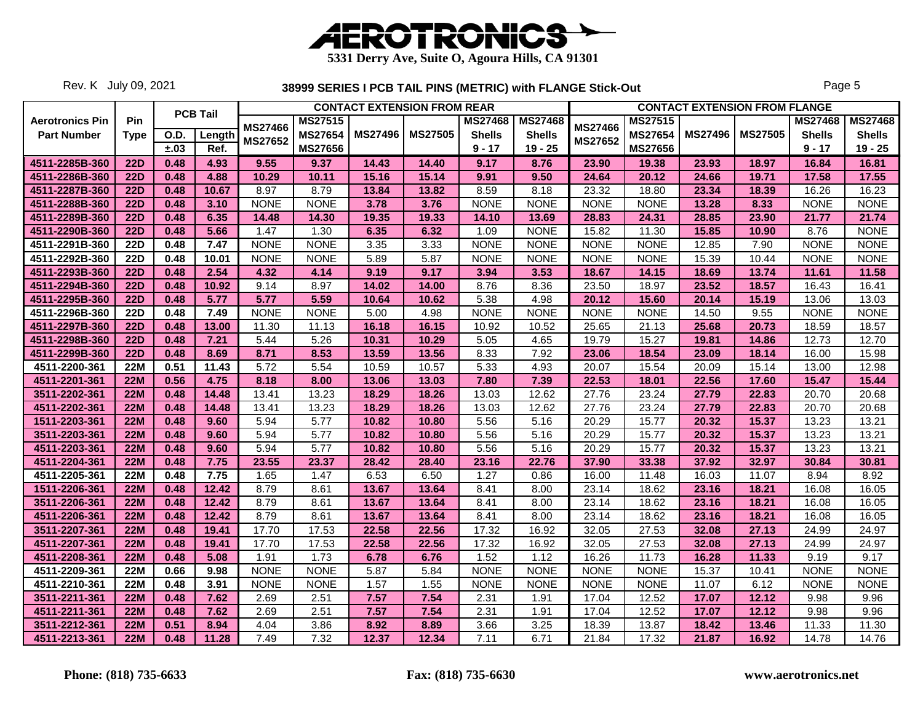

Rev. K July 09, 2021

|                        |             |      |                 |                |                   |                | <b>CONTACT EXTENSION FROM REAR</b> |                |                |                |                |                | <b>CONTACT EXTENSION FROM FLANGE</b> |                |                |
|------------------------|-------------|------|-----------------|----------------|-------------------|----------------|------------------------------------|----------------|----------------|----------------|----------------|----------------|--------------------------------------|----------------|----------------|
| <b>Aerotronics Pin</b> | Pin         |      | <b>PCB Tail</b> | <b>MS27466</b> | <b>MS27515</b>    |                |                                    | <b>MS27468</b> | <b>MS27468</b> | <b>MS27466</b> | <b>MS27515</b> |                |                                      | <b>MS27468</b> | <b>MS27468</b> |
| <b>Part Number</b>     | <b>Type</b> | O.D. | Length          |                | <b>MS27654</b>    | <b>MS27496</b> | <b>MS27505</b>                     | <b>Shells</b>  | <b>Shells</b>  |                | MS27654        | <b>MS27496</b> | <b>MS27505</b>                       | <b>Shells</b>  | <b>Shells</b>  |
|                        |             | ±.03 | Ref.            | <b>MS27652</b> | <b>MS27656</b>    |                |                                    | $9 - 17$       | $19 - 25$      | <b>MS27652</b> | <b>MS27656</b> |                |                                      | $9 - 17$       | $19 - 25$      |
| 4511-2285B-360         | <b>22D</b>  | 0.48 | 4.93            | 9.55           | 9.37              | 14.43          | 14.40                              | 9.17           | 8.76           | 23.90          | 19.38          | 23.93          | 18.97                                | 16.84          | 16.81          |
| 4511-2286B-360         | <b>22D</b>  | 0.48 | 4.88            | 10.29          | 10.11             | 15.16          | 15.14                              | 9.91           | 9.50           | 24.64          | 20.12          | 24.66          | 19.71                                | 17.58          | 17.55          |
| 4511-2287B-360         | <b>22D</b>  | 0.48 | 10.67           | 8.97           | 8.79              | 13.84          | 13.82                              | 8.59           | 8.18           | 23.32          | 18.80          | 23.34          | 18.39                                | 16.26          | 16.23          |
| 4511-2288B-360         | <b>22D</b>  | 0.48 | 3.10            | <b>NONE</b>    | <b>NONE</b>       | 3.78           | 3.76                               | <b>NONE</b>    | <b>NONE</b>    | <b>NONE</b>    | <b>NONE</b>    | 13.28          | 8.33                                 | <b>NONE</b>    | <b>NONE</b>    |
| 4511-2289B-360         | <b>22D</b>  | 0.48 | 6.35            | 14.48          | 14.30             | 19.35          | 19.33                              | 14.10          | 13.69          | 28.83          | 24.31          | 28.85          | 23.90                                | 21.77          | 21.74          |
| 4511-2290B-360         | <b>22D</b>  | 0.48 | 5.66            | 1.47           | 1.30              | 6.35           | 6.32                               | 1.09           | <b>NONE</b>    | 15.82          | 11.30          | 15.85          | 10.90                                | 8.76           | <b>NONE</b>    |
| 4511-2291B-360         | <b>22D</b>  | 0.48 | 7.47            | <b>NONE</b>    | <b>NONE</b>       | 3.35           | 3.33                               | <b>NONE</b>    | <b>NONE</b>    | <b>NONE</b>    | <b>NONE</b>    | 12.85          | 7.90                                 | <b>NONE</b>    | <b>NONE</b>    |
| 4511-2292B-360         | <b>22D</b>  | 0.48 | 10.01           | <b>NONE</b>    | <b>NONE</b>       | 5.89           | 5.87                               | <b>NONE</b>    | <b>NONE</b>    | <b>NONE</b>    | <b>NONE</b>    | 15.39          | 10.44                                | <b>NONE</b>    | <b>NONE</b>    |
| 4511-2293B-360         | <b>22D</b>  | 0.48 | 2.54            | 4.32           | 4.14              | 9.19           | 9.17                               | 3.94           | 3.53           | 18.67          | 14.15          | 18.69          | 13.74                                | 11.61          | 11.58          |
| 4511-2294B-360         | <b>22D</b>  | 0.48 | 10.92           | 9.14           | 8.97              | 14.02          | 14.00                              | 8.76           | 8.36           | 23.50          | 18.97          | 23.52          | 18.57                                | 16.43          | 16.41          |
| 4511-2295B-360         | <b>22D</b>  | 0.48 | 5.77            | 5.77           | 5.59              | 10.64          | 10.62                              | 5.38           | 4.98           | 20.12          | 15.60          | 20.14          | 15.19                                | 13.06          | 13.03          |
| 4511-2296B-360         | <b>22D</b>  | 0.48 | 7.49            | <b>NONE</b>    | <b>NONE</b>       | 5.00           | 4.98                               | <b>NONE</b>    | <b>NONE</b>    | <b>NONE</b>    | <b>NONE</b>    | 14.50          | 9.55                                 | <b>NONE</b>    | <b>NONE</b>    |
| 4511-2297B-360         | <b>22D</b>  | 0.48 | 13.00           | 11.30          | 11.13             | 16.18          | 16.15                              | 10.92          | 10.52          | 25.65          | 21.13          | 25.68          | 20.73                                | 18.59          | 18.57          |
| 4511-2298B-360         | <b>22D</b>  | 0.48 | 7.21            | 5.44           | 5.26              | 10.31          | 10.29                              | 5.05           | 4.65           | 19.79          | 15.27          | 19.81          | 14.86                                | 12.73          | 12.70          |
| 4511-2299B-360         | 22D         | 0.48 | 8.69            | 8.71           | 8.53              | 13.59          | 13.56                              | 8.33           | 7.92           | 23.06          | 18.54          | 23.09          | 18.14                                | 16.00          | 15.98          |
| 4511-2200-361          | <b>22M</b>  | 0.51 | 11.43           | 5.72           | 5.54              | 10.59          | 10.57                              | 5.33           | 4.93           | 20.07          | 15.54          | 20.09          | 15.14                                | 13.00          | 12.98          |
| 4511-2201-361          | 22M         | 0.56 | 4.75            | 8.18           | 8.00              | 13.06          | 13.03                              | 7.80           | 7.39           | 22.53          | 18.01          | 22.56          | 17.60                                | 15.47          | 15.44          |
| 3511-2202-361          | <b>22M</b>  | 0.48 | 14.48           | 13.41          | 13.23             | 18.29          | 18.26                              | 13.03          | 12.62          | 27.76          | 23.24          | 27.79          | 22.83                                | 20.70          | 20.68          |
| 4511-2202-361          | <b>22M</b>  | 0.48 | 14.48           | 13.41          | 13.23             | 18.29          | 18.26                              | 13.03          | 12.62          | 27.76          | 23.24          | 27.79          | 22.83                                | 20.70          | 20.68          |
| 1511-2203-361          | <b>22M</b>  | 0.48 | 9.60            | 5.94           | $\overline{5.77}$ | 10.82          | 10.80                              | 5.56           | 5.16           | 20.29          | 15.77          | 20.32          | 15.37                                | 13.23          | 13.21          |
| 3511-2203-361          | <b>22M</b>  | 0.48 | 9.60            | 5.94           | 5.77              | 10.82          | 10.80                              | 5.56           | 5.16           | 20.29          | 15.77          | 20.32          | 15.37                                | 13.23          | 13.21          |
| 4511-2203-361          | <b>22M</b>  | 0.48 | 9.60            | 5.94           | 5.77              | 10.82          | 10.80                              | 5.56           | 5.16           | 20.29          | 15.77          | 20.32          | 15.37                                | 13.23          | 13.21          |
| 4511-2204-361          | 22M         | 0.48 | 7.75            | 23.55          | 23.37             | 28.42          | 28.40                              | 23.16          | 22.76          | 37.90          | 33.38          | 37.92          | 32.97                                | 30.84          | 30.81          |
| 4511-2205-361          | <b>22M</b>  | 0.48 | 7.75            | 1.65           | 1.47              | 6.53           | 6.50                               | 1.27           | 0.86           | 16.00          | 11.48          | 16.03          | 11.07                                | 8.94           | 8.92           |
| 1511-2206-361          | <b>22M</b>  | 0.48 | 12.42           | 8.79           | 8.61              | 13.67          | 13.64                              | 8.41           | 8.00           | 23.14          | 18.62          | 23.16          | 18.21                                | 16.08          | 16.05          |
| 3511-2206-361          | <b>22M</b>  | 0.48 | 12.42           | 8.79           | 8.61              | 13.67          | 13.64                              | 8.41           | 8.00           | 23.14          | 18.62          | 23.16          | 18.21                                | 16.08          | 16.05          |
| 4511-2206-361          | <b>22M</b>  | 0.48 | 12.42           | 8.79           | 8.61              | 13.67          | 13.64                              | 8.41           | 8.00           | 23.14          | 18.62          | 23.16          | 18.21                                | 16.08          | 16.05          |
| 3511-2207-361          | <b>22M</b>  | 0.48 | 19.41           | 17.70          | 17.53             | 22.58          | 22.56                              | 17.32          | 16.92          | 32.05          | 27.53          | 32.08          | 27.13                                | 24.99          | 24.97          |
| 4511-2207-361          | <b>22M</b>  | 0.48 | 19.41           | 17.70          | 17.53             | 22.58          | 22.56                              | 17.32          | 16.92          | 32.05          | 27.53          | 32.08          | 27.13                                | 24.99          | 24.97          |
| 4511-2208-361          | <b>22M</b>  | 0.48 | 5.08            | 1.91           | 1.73              | 6.78           | 6.76                               | 1.52           | 1.12           | 16.26          | 11.73          | 16.28          | 11.33                                | 9.19           | 9.17           |
| 4511-2209-361          | <b>22M</b>  | 0.66 | 9.98            | <b>NONE</b>    | <b>NONE</b>       | 5.87           | 5.84                               | <b>NONE</b>    | <b>NONE</b>    | <b>NONE</b>    | <b>NONE</b>    | 15.37          | 10.41                                | <b>NONE</b>    | <b>NONE</b>    |
| 4511-2210-361          | <b>22M</b>  | 0.48 | 3.91            | <b>NONE</b>    | <b>NONE</b>       | 1.57           | 1.55                               | <b>NONE</b>    | <b>NONE</b>    | <b>NONE</b>    | <b>NONE</b>    | 11.07          | 6.12                                 | <b>NONE</b>    | <b>NONE</b>    |
| 3511-2211-361          | <b>22M</b>  | 0.48 | 7.62            | 2.69           | 2.51              | 7.57           | 7.54                               | 2.31           | 1.91           | 17.04          | 12.52          | 17.07          | 12.12                                | 9.98           | 9.96           |
| 4511-2211-361          | <b>22M</b>  | 0.48 | 7.62            | 2.69           | 2.51              | 7.57           | 7.54                               | 2.31           | 1.91           | 17.04          | 12.52          | 17.07          | 12.12                                | 9.98           | 9.96           |
| 3511-2212-361          | <b>22M</b>  | 0.51 | 8.94            | 4.04           | 3.86              | 8.92           | 8.89                               | 3.66           | 3.25           | 18.39          | 13.87          | 18.42          | 13.46                                | 11.33          | 11.30          |
| 4511-2213-361          | <b>22M</b>  | 0.48 | 11.28           | 7.49           | 7.32              | 12.37          | 12.34                              | 7.11           | 6.71           | 21.84          | 17.32          | 21.87          | 16.92                                | 14.78          | 14.76          |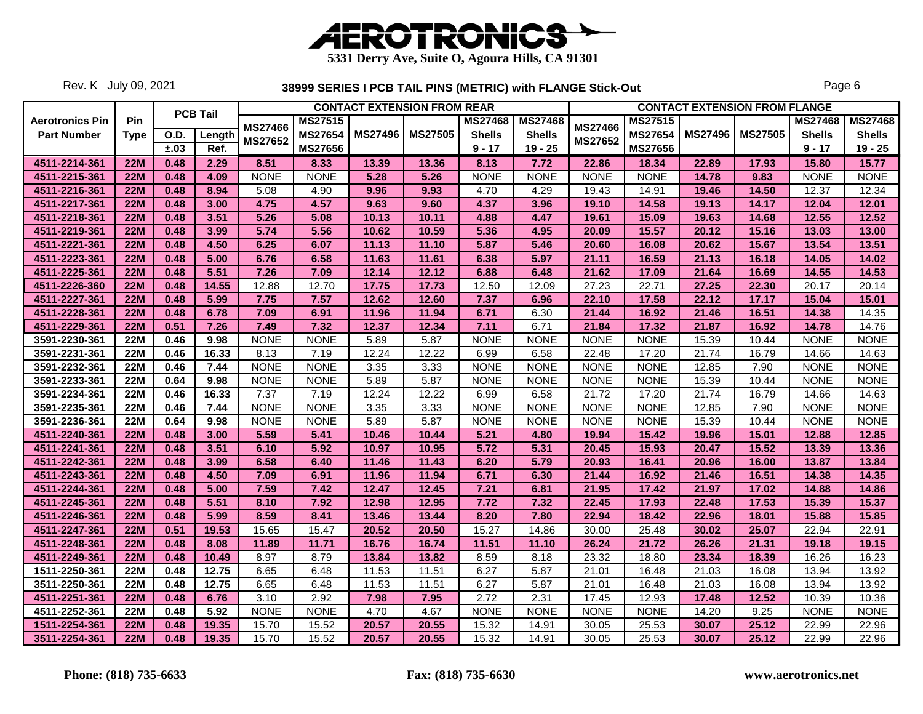

Rev. K July 09, 2021

|                        |             |      |                 |                |                |                | <b>CONTACT EXTENSION FROM REAR</b> |                |                |                |                |                | <b>CONTACT EXTENSION FROM FLANGE</b> |                |                |
|------------------------|-------------|------|-----------------|----------------|----------------|----------------|------------------------------------|----------------|----------------|----------------|----------------|----------------|--------------------------------------|----------------|----------------|
| <b>Aerotronics Pin</b> | Pin         |      | <b>PCB Tail</b> | <b>MS27466</b> | <b>MS27515</b> |                |                                    | <b>MS27468</b> | <b>MS27468</b> | <b>MS27466</b> | <b>MS27515</b> |                |                                      | <b>MS27468</b> | <b>MS27468</b> |
| <b>Part Number</b>     | <b>Type</b> | O.D. | Length          | <b>MS27652</b> | <b>MS27654</b> | <b>MS27496</b> | <b>MS27505</b>                     | <b>Shells</b>  | <b>Shells</b>  | <b>MS27652</b> | <b>MS27654</b> | <b>MS27496</b> | <b>MS27505</b>                       | <b>Shells</b>  | <b>Shells</b>  |
|                        |             | ±.03 | Ref.            |                | <b>MS27656</b> |                |                                    | $9 - 17$       | $19 - 25$      |                | <b>MS27656</b> |                |                                      | $9 - 17$       | $19 - 25$      |
| 4511-2214-361          | <b>22M</b>  | 0.48 | 2.29            | 8.51           | 8.33           | 13.39          | 13.36                              | 8.13           | 7.72           | 22.86          | 18.34          | 22.89          | 17.93                                | 15.80          | 15.77          |
| 4511-2215-361          | <b>22M</b>  | 0.48 | 4.09            | <b>NONE</b>    | <b>NONE</b>    | 5.28           | 5.26                               | <b>NONE</b>    | <b>NONE</b>    | <b>NONE</b>    | <b>NONE</b>    | 14.78          | 9.83                                 | <b>NONE</b>    | <b>NONE</b>    |
| 4511-2216-361          | <b>22M</b>  | 0.48 | 8.94            | 5.08           | 4.90           | 9.96           | 9.93                               | 4.70           | 4.29           | 19.43          | 14.91          | 19.46          | 14.50                                | 12.37          | 12.34          |
| 4511-2217-361          | <b>22M</b>  | 0.48 | 3.00            | 4.75           | 4.57           | 9.63           | 9.60                               | 4.37           | 3.96           | 19.10          | 14.58          | 19.13          | 14.17                                | 12.04          | 12.01          |
| 4511-2218-361          | 22M         | 0.48 | 3.51            | 5.26           | 5.08           | 10.13          | 10.11                              | 4.88           | 4.47           | 19.61          | 15.09          | 19.63          | 14.68                                | 12.55          | 12.52          |
| 4511-2219-361          | <b>22M</b>  | 0.48 | 3.99            | 5.74           | 5.56           | 10.62          | 10.59                              | 5.36           | 4.95           | 20.09          | 15.57          | 20.12          | 15.16                                | 13.03          | 13.00          |
| 4511-2221-361          | <b>22M</b>  | 0.48 | 4.50            | 6.25           | 6.07           | 11.13          | 11.10                              | 5.87           | 5.46           | 20.60          | 16.08          | 20.62          | 15.67                                | 13.54          | 13.51          |
| 4511-2223-361          | <b>22M</b>  | 0.48 | 5.00            | 6.76           | 6.58           | 11.63          | 11.61                              | 6.38           | 5.97           | 21.11          | 16.59          | 21.13          | 16.18                                | 14.05          | 14.02          |
| 4511-2225-361          | <b>22M</b>  | 0.48 | 5.51            | 7.26           | 7.09           | 12.14          | 12.12                              | 6.88           | 6.48           | 21.62          | 17.09          | 21.64          | 16.69                                | 14.55          | 14.53          |
| 4511-2226-360          | <b>22M</b>  | 0.48 | 14.55           | 12.88          | 12.70          | 17.75          | 17.73                              | 12.50          | 12.09          | 27.23          | 22.71          | 27.25          | 22.30                                | 20.17          | 20.14          |
| 4511-2227-361          | <b>22M</b>  | 0.48 | 5.99            | 7.75           | 7.57           | 12.62          | 12.60                              | 7.37           | 6.96           | 22.10          | 17.58          | 22.12          | 17.17                                | 15.04          | 15.01          |
| 4511-2228-361          | <b>22M</b>  | 0.48 | 6.78            | 7.09           | 6.91           | 11.96          | 11.94                              | 6.71           | 6.30           | 21.44          | 16.92          | 21.46          | 16.51                                | 14.38          | 14.35          |
| 4511-2229-361          | <b>22M</b>  | 0.51 | 7.26            | 7.49           | 7.32           | 12.37          | 12.34                              | 7.11           | 6.71           | 21.84          | 17.32          | 21.87          | 16.92                                | 14.78          | 14.76          |
| 3591-2230-361          | <b>22M</b>  | 0.46 | 9.98            | <b>NONE</b>    | <b>NONE</b>    | 5.89           | 5.87                               | <b>NONE</b>    | <b>NONE</b>    | <b>NONE</b>    | <b>NONE</b>    | 15.39          | 10.44                                | <b>NONE</b>    | <b>NONE</b>    |
| 3591-2231-361          | 22M         | 0.46 | 16.33           | 8.13           | 7.19           | 12.24          | 12.22                              | 6.99           | 6.58           | 22.48          | 17.20          | 21.74          | 16.79                                | 14.66          | 14.63          |
| 3591-2232-361          | <b>22M</b>  | 0.46 | 7.44            | <b>NONE</b>    | <b>NONE</b>    | 3.35           | 3.33                               | <b>NONE</b>    | <b>NONE</b>    | <b>NONE</b>    | <b>NONE</b>    | 12.85          | 7.90                                 | <b>NONE</b>    | <b>NONE</b>    |
| 3591-2233-361          | <b>22M</b>  | 0.64 | 9.98            | <b>NONE</b>    | <b>NONE</b>    | 5.89           | 5.87                               | <b>NONE</b>    | <b>NONE</b>    | <b>NONE</b>    | <b>NONE</b>    | 15.39          | 10.44                                | <b>NONE</b>    | <b>NONE</b>    |
| 3591-2234-361          | <b>22M</b>  | 0.46 | 16.33           | 7.37           | 7.19           | 12.24          | 12.22                              | 6.99           | 6.58           | 21.72          | 17.20          | 21.74          | 16.79                                | 14.66          | 14.63          |
| 3591-2235-361          | <b>22M</b>  | 0.46 | 7.44            | <b>NONE</b>    | <b>NONE</b>    | 3.35           | 3.33                               | <b>NONE</b>    | <b>NONE</b>    | <b>NONE</b>    | <b>NONE</b>    | 12.85          | 7.90                                 | <b>NONE</b>    | <b>NONE</b>    |
| 3591-2236-361          | <b>22M</b>  | 0.64 | 9.98            | <b>NONE</b>    | <b>NONE</b>    | 5.89           | 5.87                               | <b>NONE</b>    | <b>NONE</b>    | <b>NONE</b>    | <b>NONE</b>    | 15.39          | 10.44                                | <b>NONE</b>    | <b>NONE</b>    |
| 4511-2240-361          | <b>22M</b>  | 0.48 | 3.00            | 5.59           | 5.41           | 10.46          | 10.44                              | 5.21           | 4.80           | 19.94          | 15.42          | 19.96          | 15.01                                | 12.88          | 12.85          |
| 4511-2241-361          | <b>22M</b>  | 0.48 | 3.51            | 6.10           | 5.92           | 10.97          | 10.95                              | 5.72           | 5.31           | 20.45          | 15.93          | 20.47          | 15.52                                | 13.39          | 13.36          |
| 4511-2242-361          | 22M         | 0.48 | 3.99            | 6.58           | 6.40           | 11.46          | 11.43                              | 6.20           | 5.79           | 20.93          | 16.41          | 20.96          | 16.00                                | 13.87          | 13.84          |
| 4511-2243-361          | <b>22M</b>  | 0.48 | 4.50            | 7.09           | 6.91           | 11.96          | 11.94                              | 6.71           | 6.30           | 21.44          | 16.92          | 21.46          | 16.51                                | 14.38          | 14.35          |
| 4511-2244-361          | <b>22M</b>  | 0.48 | 5.00            | 7.59           | 7.42           | 12.47          | 12.45                              | 7.21           | 6.81           | 21.95          | 17.42          | 21.97          | 17.02                                | 14.88          | 14.86          |
| 4511-2245-361          | <b>22M</b>  | 0.48 | 5.51            | 8.10           | 7.92           | 12.98          | 12.95                              | 7.72           | 7.32           | 22.45          | 17.93          | 22.48          | 17.53                                | 15.39          | 15.37          |
| 4511-2246-361          | <b>22M</b>  | 0.48 | 5.99            | 8.59           | 8.41           | 13.46          | 13.44                              | 8.20           | 7.80           | 22.94          | 18.42          | 22.96          | 18.01                                | 15.88          | 15.85          |
| 4511-2247-361          | <b>22M</b>  | 0.51 | 19.53           | 15.65          | 15.47          | 20.52          | 20.50                              | 15.27          | 14.86          | 30.00          | 25.48          | 30.02          | 25.07                                | 22.94          | 22.91          |
| 4511-2248-361          | <b>22M</b>  | 0.48 | 8.08            | 11.89          | 11.71          | 16.76          | 16.74                              | 11.51          | 11.10          | 26.24          | 21.72          | 26.26          | 21.31                                | 19.18          | 19.15          |
| 4511-2249-361          | <b>22M</b>  | 0.48 | 10.49           | 8.97           | 8.79           | 13.84          | 13.82                              | 8.59           | 8.18           | 23.32          | 18.80          | 23.34          | 18.39                                | 16.26          | 16.23          |
| 1511-2250-361          | <b>22M</b>  | 0.48 | 12.75           | 6.65           | 6.48           | 11.53          | 11.51                              | 6.27           | 5.87           | 21.01          | 16.48          | 21.03          | 16.08                                | 13.94          | 13.92          |
| 3511-2250-361          | <b>22M</b>  | 0.48 | 12.75           | 6.65           | 6.48           | 11.53          | 11.51                              | 6.27           | 5.87           | 21.01          | 16.48          | 21.03          | 16.08                                | 13.94          | 13.92          |
| 4511-2251-361          | <b>22M</b>  | 0.48 | 6.76            | 3.10           | 2.92           | 7.98           | 7.95                               | 2.72           | 2.31           | 17.45          | 12.93          | 17.48          | 12.52                                | 10.39          | 10.36          |
| 4511-2252-361          | <b>22M</b>  | 0.48 | 5.92            | <b>NONE</b>    | <b>NONE</b>    | 4.70           | 4.67                               | <b>NONE</b>    | <b>NONE</b>    | <b>NONE</b>    | <b>NONE</b>    | 14.20          | 9.25                                 | <b>NONE</b>    | <b>NONE</b>    |
| 1511-2254-361          | <b>22M</b>  | 0.48 | 19.35           | 15.70          | 15.52          | 20.57          | 20.55                              | 15.32          | 14.91          | 30.05          | 25.53          | 30.07          | 25.12                                | 22.99          | 22.96          |
| 3511-2254-361          | <b>22M</b>  | 0.48 | 19.35           | 15.70          | 15.52          | 20.57          | 20.55                              | 15.32          | 14.91          | 30.05          | 25.53          | 30.07          | 25.12                                | 22.99          | 22.96          |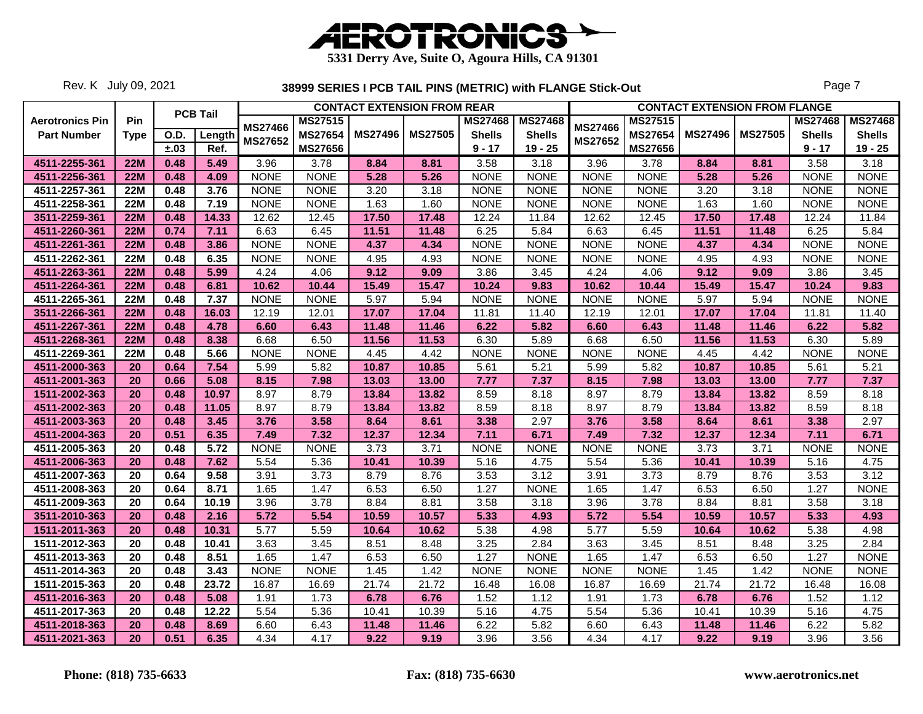

Rev. K July 09, 2021

|                        |             |      | <b>PCB Tail</b> |                |                | <b>CONTACT EXTENSION FROM REAR</b> |                |                |                |                |                |                | <b>CONTACT EXTENSION FROM FLANGE</b> |                |                |
|------------------------|-------------|------|-----------------|----------------|----------------|------------------------------------|----------------|----------------|----------------|----------------|----------------|----------------|--------------------------------------|----------------|----------------|
| <b>Aerotronics Pin</b> | Pin         |      |                 | <b>MS27466</b> | <b>MS27515</b> |                                    |                | <b>MS27468</b> | <b>MS27468</b> | <b>MS27466</b> | <b>MS27515</b> |                |                                      | <b>MS27468</b> | <b>MS27468</b> |
| <b>Part Number</b>     | <b>Type</b> | O.D. | Length          | MS27652        | <b>MS27654</b> | <b>MS27496</b>                     | <b>MS27505</b> | <b>Shells</b>  | <b>Shells</b>  | MS27652        | <b>MS27654</b> | <b>MS27496</b> | <b>MS27505</b>                       | <b>Shells</b>  | <b>Shells</b>  |
|                        |             | ±.03 | Ref.            |                | <b>MS27656</b> |                                    |                | $9 - 17$       | $19 - 25$      |                | <b>MS27656</b> |                |                                      | $9 - 17$       | $19 - 25$      |
| 4511-2255-361          | <b>22M</b>  | 0.48 | 5.49            | 3.96           | 3.78           | 8.84                               | 8.81           | 3.58           | 3.18           | 3.96           | 3.78           | 8.84           | 8.81                                 | 3.58           | 3.18           |
| 4511-2256-361          | <b>22M</b>  | 0.48 | 4.09            | <b>NONE</b>    | <b>NONE</b>    | 5.28                               | 5.26           | <b>NONE</b>    | <b>NONE</b>    | <b>NONE</b>    | <b>NONE</b>    | 5.28           | 5.26                                 | <b>NONE</b>    | <b>NONE</b>    |
| 4511-2257-361          | <b>22M</b>  | 0.48 | 3.76            | <b>NONE</b>    | <b>NONE</b>    | 3.20                               | 3.18           | <b>NONE</b>    | <b>NONE</b>    | <b>NONE</b>    | <b>NONE</b>    | 3.20           | 3.18                                 | <b>NONE</b>    | <b>NONE</b>    |
| 4511-2258-361          | <b>22M</b>  | 0.48 | 7.19            | <b>NONE</b>    | <b>NONE</b>    | 1.63                               | 1.60           | <b>NONE</b>    | <b>NONE</b>    | <b>NONE</b>    | <b>NONE</b>    | 1.63           | 1.60                                 | <b>NONE</b>    | <b>NONE</b>    |
| 3511-2259-361          | <b>22M</b>  | 0.48 | 14.33           | 12.62          | 12.45          | 17.50                              | 17.48          | 12.24          | 11.84          | 12.62          | 12.45          | 17.50          | 17.48                                | 12.24          | 11.84          |
| 4511-2260-361          | <b>22M</b>  | 0.74 | 7.11            | 6.63           | 6.45           | 11.51                              | 11.48          | 6.25           | 5.84           | 6.63           | 6.45           | 11.51          | 11.48                                | 6.25           | 5.84           |
| 4511-2261-361          | <b>22M</b>  | 0.48 | 3.86            | <b>NONE</b>    | <b>NONE</b>    | 4.37                               | 4.34           | <b>NONE</b>    | <b>NONE</b>    | <b>NONE</b>    | <b>NONE</b>    | 4.37           | 4.34                                 | <b>NONE</b>    | <b>NONE</b>    |
| 4511-2262-361          | <b>22M</b>  | 0.48 | 6.35            | <b>NONE</b>    | <b>NONE</b>    | 4.95                               | 4.93           | <b>NONE</b>    | <b>NONE</b>    | <b>NONE</b>    | <b>NONE</b>    | 4.95           | 4.93                                 | <b>NONE</b>    | <b>NONE</b>    |
| 4511-2263-361          | <b>22M</b>  | 0.48 | 5.99            | 4.24           | 4.06           | 9.12                               | 9.09           | 3.86           | 3.45           | 4.24           | 4.06           | 9.12           | 9.09                                 | 3.86           | 3.45           |
| 4511-2264-361          | <b>22M</b>  | 0.48 | 6.81            | 10.62          | 10.44          | 15.49                              | 15.47          | 10.24          | 9.83           | 10.62          | 10.44          | 15.49          | 15.47                                | 10.24          | 9.83           |
| 4511-2265-361          | <b>22M</b>  | 0.48 | 7.37            | <b>NONE</b>    | <b>NONE</b>    | 5.97                               | 5.94           | <b>NONE</b>    | <b>NONE</b>    | <b>NONE</b>    | <b>NONE</b>    | 5.97           | 5.94                                 | <b>NONE</b>    | <b>NONE</b>    |
| 3511-2266-361          | <b>22M</b>  | 0.48 | 16.03           | 12.19          | 12.01          | 17.07                              | 17.04          | 11.81          | 11.40          | 12.19          | 12.01          | 17.07          | 17.04                                | 11.81          | 11.40          |
| 4511-2267-361          | <b>22M</b>  | 0.48 | 4.78            | 6.60           | 6.43           | 11.48                              | 11.46          | 6.22           | 5.82           | 6.60           | 6.43           | 11.48          | 11.46                                | 6.22           | 5.82           |
| 4511-2268-361          | <b>22M</b>  | 0.48 | 8.38            | 6.68           | 6.50           | 11.56                              | 11.53          | 6.30           | 5.89           | 6.68           | 6.50           | 11.56          | 11.53                                | 6.30           | 5.89           |
| 4511-2269-361          | <b>22M</b>  | 0.48 | 5.66            | <b>NONE</b>    | <b>NONE</b>    | 4.45                               | 4.42           | <b>NONE</b>    | <b>NONE</b>    | <b>NONE</b>    | <b>NONE</b>    | 4.45           | 4.42                                 | <b>NONE</b>    | <b>NONE</b>    |
| 4511-2000-363          | 20          | 0.64 | 7.54            | 5.99           | 5.82           | 10.87                              | 10.85          | 5.61           | 5.21           | 5.99           | 5.82           | 10.87          | 10.85                                | 5.61           | 5.21           |
| 4511-2001-363          | 20          | 0.66 | 5.08            | 8.15           | 7.98           | 13.03                              | 13.00          | 7.77           | 7.37           | 8.15           | 7.98           | 13.03          | 13.00                                | 7.77           | 7.37           |
| 1511-2002-363          | 20          | 0.48 | 10.97           | 8.97           | 8.79           | 13.84                              | 13.82          | 8.59           | 8.18           | 8.97           | 8.79           | 13.84          | 13.82                                | 8.59           | 8.18           |
| 4511-2002-363          | 20          | 0.48 | 11.05           | 8.97           | 8.79           | 13.84                              | 13.82          | 8.59           | 8.18           | 8.97           | 8.79           | 13.84          | 13.82                                | 8.59           | 8.18           |
| 4511-2003-363          | 20          | 0.48 | 3.45            | 3.76           | 3.58           | 8.64                               | 8.61           | 3.38           | 2.97           | 3.76           | 3.58           | 8.64           | 8.61                                 | 3.38           | 2.97           |
| 4511-2004-363          | 20          | 0.51 | 6.35            | 7.49           | 7.32           | 12.37                              | 12.34          | 7.11           | 6.71           | 7.49           | 7.32           | 12.37          | 12.34                                | 7.11           | 6.71           |
| 4511-2005-363          | 20          | 0.48 | 5.72            | <b>NONE</b>    | <b>NONE</b>    | 3.73                               | 3.71           | <b>NONE</b>    | <b>NONE</b>    | <b>NONE</b>    | <b>NONE</b>    | 3.73           | 3.71                                 | <b>NONE</b>    | <b>NONE</b>    |
| 4511-2006-363          | 20          | 0.48 | 7.62            | 5.54           | 5.36           | 10.41                              | 10.39          | 5.16           | 4.75           | 5.54           | 5.36           | 10.41          | 10.39                                | 5.16           | 4.75           |
| 4511-2007-363          | 20          | 0.64 | 9.58            | 3.91           | 3.73           | 8.79                               | 8.76           | 3.53           | 3.12           | 3.91           | 3.73           | 8.79           | 8.76                                 | 3.53           | 3.12           |
| 4511-2008-363          | 20          | 0.64 | 8.71            | 1.65           | 1.47           | 6.53                               | 6.50           | 1.27           | <b>NONE</b>    | 1.65           | 1.47           | 6.53           | 6.50                                 | 1.27           | <b>NONE</b>    |
| 4511-2009-363          | 20          | 0.64 | 10.19           | 3.96           | 3.78           | 8.84                               | 8.81           | 3.58           | 3.18           | 3.96           | 3.78           | 8.84           | 8.81                                 | 3.58           | 3.18           |
| 3511-2010-363          | 20          | 0.48 | 2.16            | 5.72           | 5.54           | 10.59                              | 10.57          | 5.33           | 4.93           | 5.72           | 5.54           | 10.59          | 10.57                                | 5.33           | 4.93           |
| 1511-2011-363          | 20          | 0.48 | 10.31           | 5.77           | 5.59           | 10.64                              | 10.62          | 5.38           | 4.98           | 5.77           | 5.59           | 10.64          | 10.62                                | 5.38           | 4.98           |
| 1511-2012-363          | 20          | 0.48 | 10.41           | 3.63           | 3.45           | 8.51                               | 8.48           | 3.25           | 2.84           | 3.63           | 3.45           | 8.51           | 8.48                                 | 3.25           | 2.84           |
| 4511-2013-363          | 20          | 0.48 | 8.51            | 1.65           | 1.47           | 6.53                               | 6.50           | 1.27           | <b>NONE</b>    | 1.65           | 1.47           | 6.53           | 6.50                                 | 1.27           | <b>NONE</b>    |
| 4511-2014-363          | 20          | 0.48 | 3.43            | <b>NONE</b>    | <b>NONE</b>    | 1.45                               | 1.42           | <b>NONE</b>    | <b>NONE</b>    | <b>NONE</b>    | <b>NONE</b>    | 1.45           | 1.42                                 | <b>NONE</b>    | <b>NONE</b>    |
| 1511-2015-363          | 20          | 0.48 | 23.72           | 16.87          | 16.69          | 21.74                              | 21.72          | 16.48          | 16.08          | 16.87          | 16.69          | 21.74          | 21.72                                | 16.48          | 16.08          |
| 4511-2016-363          | 20          | 0.48 | 5.08            | 1.91           | 1.73           | 6.78                               | 6.76           | 1.52           | 1.12           | 1.91           | 1.73           | 6.78           | 6.76                                 | 1.52           | 1.12           |
| 4511-2017-363          | 20          | 0.48 | 12.22           | 5.54           | 5.36           | 10.41                              | 10.39          | 5.16           | 4.75           | 5.54           | 5.36           | 10.41          | 10.39                                | 5.16           | 4.75           |
| 4511-2018-363          | 20          | 0.48 | 8.69            | 6.60           | 6.43           | 11.48                              | 11.46          | 6.22           | 5.82           | 6.60           | 6.43           | 11.48          | 11.46                                | 6.22           | 5.82           |
| 4511-2021-363          | 20          | 0.51 | 6.35            | 4.34           | 4.17           | 9.22                               | 9.19           | 3.96           | 3.56           | 4.34           | 4.17           | 9.22           | 9.19                                 | 3.96           | 3.56           |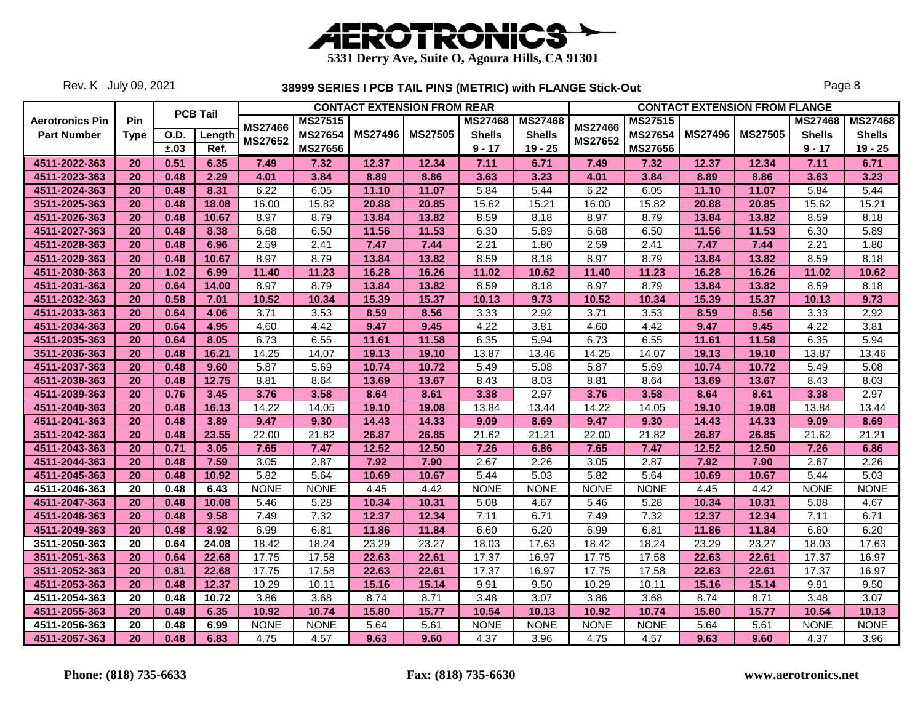

Rev. K July 09, 2021

|                        |             |             |                 |                                  |                |                | <b>CONTACT EXTENSION FROM REAR</b> |                |                |                                  |                |                | <b>CONTACT EXTENSION FROM FLANGE</b> |                |                |
|------------------------|-------------|-------------|-----------------|----------------------------------|----------------|----------------|------------------------------------|----------------|----------------|----------------------------------|----------------|----------------|--------------------------------------|----------------|----------------|
| <b>Aerotronics Pin</b> | Pin         |             | <b>PCB Tail</b> |                                  | MS27515        |                |                                    | <b>MS27468</b> | <b>MS27468</b> |                                  | <b>MS27515</b> |                |                                      | <b>MS27468</b> | <b>MS27468</b> |
| <b>Part Number</b>     | <b>Type</b> | <b>O.D.</b> | Length          | <b>MS27466</b><br><b>MS27652</b> | <b>MS27654</b> | <b>MS27496</b> | <b>MS27505</b>                     | <b>Shells</b>  | <b>Shells</b>  | <b>MS27466</b><br><b>MS27652</b> | <b>MS27654</b> | <b>MS27496</b> | <b>MS27505</b>                       | <b>Shells</b>  | <b>Shells</b>  |
|                        |             | ±.03        | Ref.            |                                  | <b>MS27656</b> |                |                                    | $9 - 17$       | $19 - 25$      |                                  | <b>MS27656</b> |                |                                      | $9 - 17$       | $19 - 25$      |
| 4511-2022-363          | 20          | 0.51        | 6.35            | 7.49                             | 7.32           | 12.37          | 12.34                              | 7.11           | 6.71           | 7.49                             | 7.32           | 12.37          | 12.34                                | 7.11           | 6.71           |
| 4511-2023-363          | 20          | 0.48        | 2.29            | 4.01                             | 3.84           | 8.89           | 8.86                               | 3.63           | 3.23           | 4.01                             | 3.84           | 8.89           | 8.86                                 | 3.63           | 3.23           |
| 4511-2024-363          | 20          | 0.48        | 8.31            | 6.22                             | 6.05           | 11.10          | 11.07                              | 5.84           | 5.44           | 6.22                             | 6.05           | 11.10          | 11.07                                | 5.84           | 5.44           |
| 3511-2025-363          | 20          | 0.48        | 18.08           | 16.00                            | 15.82          | 20.88          | 20.85                              | 15.62          | 15.21          | 16.00                            | 15.82          | 20.88          | 20.85                                | 15.62          | 15.21          |
| 4511-2026-363          | 20          | 0.48        | 10.67           | 8.97                             | 8.79           | 13.84          | 13.82                              | 8.59           | 8.18           | 8.97                             | 8.79           | 13.84          | 13.82                                | 8.59           | 8.18           |
| 4511-2027-363          | 20          | 0.48        | 8.38            | 6.68                             | 6.50           | 11.56          | 11.53                              | 6.30           | 5.89           | 6.68                             | 6.50           | 11.56          | 11.53                                | 6.30           | 5.89           |
| 4511-2028-363          | 20          | 0.48        | 6.96            | 2.59                             | 2.41           | 7.47           | 7.44                               | 2.21           | 1.80           | 2.59                             | 2.41           | 7.47           | 7.44                                 | 2.21           | 1.80           |
| 4511-2029-363          | 20          | 0.48        | 10.67           | 8.97                             | 8.79           | 13.84          | 13.82                              | 8.59           | 8.18           | 8.97                             | 8.79           | 13.84          | 13.82                                | 8.59           | 8.18           |
| 4511-2030-363          | 20          | 1.02        | 6.99            | 11.40                            | 11.23          | 16.28          | 16.26                              | 11.02          | 10.62          | 11.40                            | 11.23          | 16.28          | 16.26                                | 11.02          | 10.62          |
| 4511-2031-363          | 20          | 0.64        | 14.00           | 8.97                             | 8.79           | 13.84          | 13.82                              | 8.59           | 8.18           | 8.97                             | 8.79           | 13.84          | 13.82                                | 8.59           | 8.18           |
| 4511-2032-363          | 20          | 0.58        | 7.01            | 10.52                            | 10.34          | 15.39          | 15.37                              | 10.13          | 9.73           | 10.52                            | 10.34          | 15.39          | 15.37                                | 10.13          | 9.73           |
| 4511-2033-363          | 20          | 0.64        | 4.06            | 3.71                             | 3.53           | 8.59           | 8.56                               | 3.33           | 2.92           | 3.71                             | 3.53           | 8.59           | 8.56                                 | 3.33           | 2.92           |
| 4511-2034-363          | 20          | 0.64        | 4.95            | 4.60                             | 4.42           | 9.47           | 9.45                               | 4.22           | 3.81           | 4.60                             | 4.42           | 9.47           | 9.45                                 | 4.22           | 3.81           |
| 4511-2035-363          | 20          | 0.64        | 8.05            | 6.73                             | 6.55           | 11.61          | 11.58                              | 6.35           | 5.94           | 6.73                             | 6.55           | 11.61          | 11.58                                | 6.35           | 5.94           |
| 3511-2036-363          | 20          | 0.48        | 16.21           | 14.25                            | 14.07          | 19.13          | 19.10                              | 13.87          | 13.46          | 14.25                            | 14.07          | 19.13          | 19.10                                | 13.87          | 13.46          |
| 4511-2037-363          | 20          | 0.48        | 9.60            | 5.87                             | 5.69           | 10.74          | 10.72                              | 5.49           | 5.08           | 5.87                             | 5.69           | 10.74          | 10.72                                | 5.49           | 5.08           |
| 4511-2038-363          | 20          | 0.48        | 12.75           | 8.81                             | 8.64           | 13.69          | 13.67                              | 8.43           | 8.03           | 8.81                             | 8.64           | 13.69          | 13.67                                | 8.43           | 8.03           |
| 4511-2039-363          | 20          | 0.76        | 3.45            | 3.76                             | 3.58           | 8.64           | 8.61                               | 3.38           | 2.97           | 3.76                             | 3.58           | 8.64           | 8.61                                 | 3.38           | 2.97           |
| 4511-2040-363          | 20          | 0.48        | 16.13           | 14.22                            | 14.05          | 19.10          | 19.08                              | 13.84          | 13.44          | 14.22                            | 14.05          | 19.10          | 19.08                                | 13.84          | 13.44          |
| 4511-2041-363          | 20          | 0.48        | 3.89            | 9.47                             | 9.30           | 14.43          | 14.33                              | 9.09           | 8.69           | 9.47                             | 9.30           | 14.43          | 14.33                                | 9.09           | 8.69           |
| 3511-2042-363          | 20          | 0.48        | 23.55           | 22.00                            | 21.82          | 26.87          | 26.85                              | 21.62          | 21.21          | 22.00                            | 21.82          | 26.87          | 26.85                                | 21.62          | 21.21          |
| 4511-2043-363          | 20          | 0.71        | 3.05            | 7.65                             | 7.47           | 12.52          | 12.50                              | 7.26           | 6.86           | 7.65                             | 7.47           | 12.52          | 12.50                                | 7.26           | 6.86           |
| 4511-2044-363          | 20          | 0.48        | 7.59            | 3.05                             | 2.87           | 7.92           | 7.90                               | 2.67           | 2.26           | 3.05                             | 2.87           | 7.92           | 7.90                                 | 2.67           | 2.26           |
| 4511-2045-363          | 20          | 0.48        | 10.92           | 5.82                             | 5.64           | 10.69          | 10.67                              | 5.44           | 5.03           | 5.82                             | 5.64           | 10.69          | 10.67                                | 5.44           | 5.03           |
| 4511-2046-363          | 20          | 0.48        | 6.43            | <b>NONE</b>                      | <b>NONE</b>    | 4.45           | 4.42                               | <b>NONE</b>    | <b>NONE</b>    | <b>NONE</b>                      | <b>NONE</b>    | 4.45           | 4.42                                 | <b>NONE</b>    | <b>NONE</b>    |
| 4511-2047-363          | 20          | 0.48        | 10.08           | 5.46                             | 5.28           | 10.34          | 10.31                              | 5.08           | 4.67           | 5.46                             | 5.28           | 10.34          | 10.31                                | 5.08           | 4.67           |
| 4511-2048-363          | 20          | 0.48        | 9.58            | 7.49                             | 7.32           | 12.37          | 12.34                              | 7.11           | 6.71           | 7.49                             | 7.32           | 12.37          | 12.34                                | 7.11           | 6.71           |
| 4511-2049-363          | 20          | 0.48        | 8.92            | 6.99                             | 6.81           | 11.86          | 11.84                              | 6.60           | 6.20           | 6.99                             | 6.81           | 11.86          | 11.84                                | 6.60           | 6.20           |
| 3511-2050-363          | 20          | 0.64        | 24.08           | 18.42                            | 18.24          | 23.29          | 23.27                              | 18.03          | 17.63          | 18.42                            | 18.24          | 23.29          | 23.27                                | 18.03          | 17.63          |
| 3511-2051-363          | 20          | 0.64        | 22.68           | 17.75                            | 17.58          | 22.63          | 22.61                              | 17.37          | 16.97          | 17.75                            | 17.58          | 22.63          | 22.61                                | 17.37          | 16.97          |
| 3511-2052-363          | 20          | 0.81        | 22.68           | 17.75                            | 17.58          | 22.63          | 22.61                              | 17.37          | 16.97          | 17.75                            | 17.58          | 22.63          | 22.61                                | 17.37          | 16.97          |
| 4511-2053-363          | 20          | 0.48        | 12.37           | 10.29                            | 10.11          | 15.16          | 15.14                              | 9.91           | 9.50           | 10.29                            | 10.11          | 15.16          | 15.14                                | 9.91           | 9.50           |
| 4511-2054-363          | 20          | 0.48        | 10.72           | 3.86                             | 3.68           | 8.74           | 8.71                               | 3.48           | 3.07           | 3.86                             | 3.68           | 8.74           | 8.71                                 | 3.48           | 3.07           |
| 4511-2055-363          | 20          | 0.48        | 6.35            | 10.92                            | 10.74          | 15.80          | 15.77                              | 10.54          | 10.13          | 10.92                            | 10.74          | 15.80          | 15.77                                | 10.54          | 10.13          |
| 4511-2056-363          | 20          | 0.48        | 6.99            | <b>NONE</b>                      | <b>NONE</b>    | 5.64           | 5.61                               | <b>NONE</b>    | <b>NONE</b>    | <b>NONE</b>                      | <b>NONE</b>    | 5.64           | 5.61                                 | <b>NONE</b>    | <b>NONE</b>    |
| 4511-2057-363          | 20          | 0.48        | 6.83            | 4.75                             | 4.57           | 9.63           | 9.60                               | 4.37           | 3.96           | 4.75                             | 4.57           | 9.63           | 9.60                                 | 4.37           | 3.96           |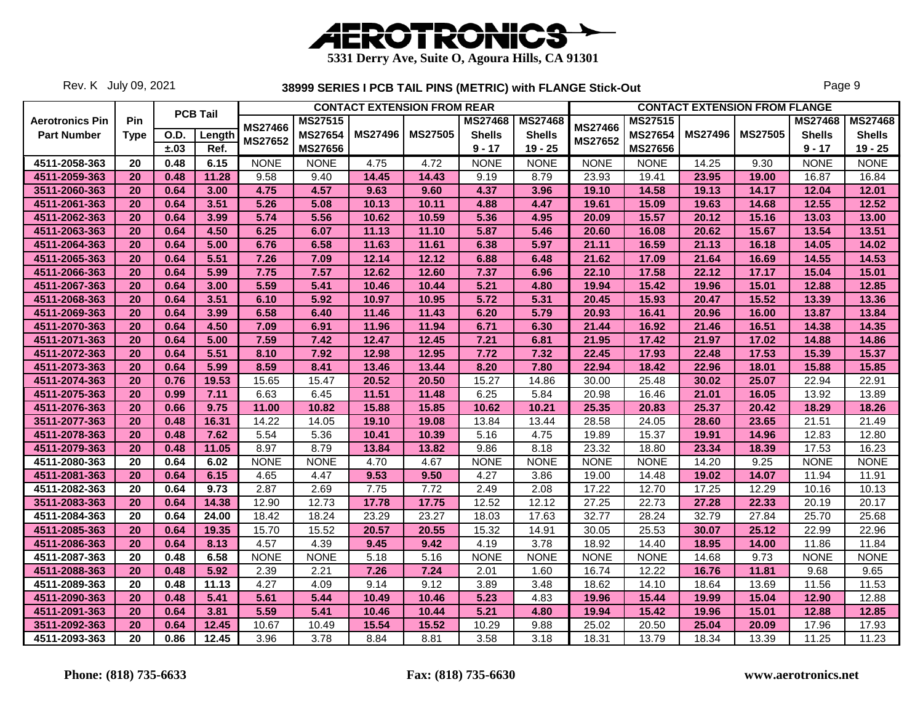

Rev. K July 09, 2021

|                        |             |      |                 |                |                |                | <b>CONTACT EXTENSION FROM REAR</b> |                |                |                |                |                | <b>CONTACT EXTENSION FROM FLANGE</b> |                |                |
|------------------------|-------------|------|-----------------|----------------|----------------|----------------|------------------------------------|----------------|----------------|----------------|----------------|----------------|--------------------------------------|----------------|----------------|
| <b>Aerotronics Pin</b> | Pin         |      | <b>PCB Tail</b> |                | <b>MS27515</b> |                |                                    | <b>MS27468</b> | <b>MS27468</b> |                | <b>MS27515</b> |                |                                      | <b>MS27468</b> | <b>MS27468</b> |
| <b>Part Number</b>     | <b>Type</b> | O.D. | Length          | <b>MS27466</b> | <b>MS27654</b> | <b>MS27496</b> | <b>MS27505</b>                     | <b>Shells</b>  | <b>Shells</b>  | <b>MS27466</b> | <b>MS27654</b> | <b>MS27496</b> | <b>MS27505</b>                       | <b>Shells</b>  | <b>Shells</b>  |
|                        |             | ±.03 | Ref.            | <b>MS27652</b> | <b>MS27656</b> |                |                                    | $9 - 17$       | $19 - 25$      | <b>MS27652</b> | <b>MS27656</b> |                |                                      | $9 - 17$       | $19 - 25$      |
| 4511-2058-363          | 20          | 0.48 | 6.15            | <b>NONE</b>    | <b>NONE</b>    | 4.75           | 4.72                               | <b>NONE</b>    | <b>NONE</b>    | <b>NONE</b>    | <b>NONE</b>    | 14.25          | 9.30                                 | <b>NONE</b>    | <b>NONE</b>    |
| 4511-2059-363          | 20          | 0.48 | 11.28           | 9.58           | 9.40           | 14.45          | 14.43                              | 9.19           | 8.79           | 23.93          | 19.41          | 23.95          | 19.00                                | 16.87          | 16.84          |
| 3511-2060-363          | 20          | 0.64 | 3.00            | 4.75           | 4.57           | 9.63           | 9.60                               | 4.37           | 3.96           | 19.10          | 14.58          | 19.13          | 14.17                                | 12.04          | 12.01          |
| 4511-2061-363          | 20          | 0.64 | 3.51            | 5.26           | 5.08           | 10.13          | 10.11                              | 4.88           | 4.47           | 19.61          | 15.09          | 19.63          | 14.68                                | 12.55          | 12.52          |
| 4511-2062-363          | 20          | 0.64 | 3.99            | 5.74           | 5.56           | 10.62          | 10.59                              | 5.36           | 4.95           | 20.09          | 15.57          | 20.12          | 15.16                                | 13.03          | 13.00          |
| 4511-2063-363          | 20          | 0.64 | 4.50            | 6.25           | 6.07           | 11.13          | 11.10                              | 5.87           | 5.46           | 20.60          | 16.08          | 20.62          | 15.67                                | 13.54          | 13.51          |
| 4511-2064-363          | 20          | 0.64 | 5.00            | 6.76           | 6.58           | 11.63          | 11.61                              | 6.38           | 5.97           | 21.11          | 16.59          | 21.13          | 16.18                                | 14.05          | 14.02          |
| 4511-2065-363          | 20          | 0.64 | 5.51            | 7.26           | 7.09           | 12.14          | 12.12                              | 6.88           | 6.48           | 21.62          | 17.09          | 21.64          | 16.69                                | 14.55          | 14.53          |
| 4511-2066-363          | 20          | 0.64 | 5.99            | 7.75           | 7.57           | 12.62          | 12.60                              | 7.37           | 6.96           | 22.10          | 17.58          | 22.12          | 17.17                                | 15.04          | 15.01          |
| 4511-2067-363          | 20          | 0.64 | 3.00            | 5.59           | 5.41           | 10.46          | 10.44                              | 5.21           | 4.80           | 19.94          | 15.42          | 19.96          | 15.01                                | 12.88          | 12.85          |
| 4511-2068-363          | 20          | 0.64 | 3.51            | 6.10           | 5.92           | 10.97          | 10.95                              | 5.72           | 5.31           | 20.45          | 15.93          | 20.47          | 15.52                                | 13.39          | 13.36          |
| 4511-2069-363          | 20          | 0.64 | 3.99            | 6.58           | 6.40           | 11.46          | 11.43                              | 6.20           | 5.79           | 20.93          | 16.41          | 20.96          | 16.00                                | 13.87          | 13.84          |
| 4511-2070-363          | 20          | 0.64 | 4.50            | 7.09           | 6.91           | 11.96          | 11.94                              | 6.71           | 6.30           | 21.44          | 16.92          | 21.46          | 16.51                                | 14.38          | 14.35          |
| 4511-2071-363          | 20          | 0.64 | 5.00            | 7.59           | 7.42           | 12.47          | 12.45                              | 7.21           | 6.81           | 21.95          | 17.42          | 21.97          | 17.02                                | 14.88          | 14.86          |
| 4511-2072-363          | 20          | 0.64 | 5.51            | 8.10           | 7.92           | 12.98          | 12.95                              | 7.72           | 7.32           | 22.45          | 17.93          | 22.48          | 17.53                                | 15.39          | 15.37          |
| 4511-2073-363          | 20          | 0.64 | 5.99            | 8.59           | 8.41           | 13.46          | 13.44                              | 8.20           | 7.80           | 22.94          | 18.42          | 22.96          | 18.01                                | 15.88          | 15.85          |
| 4511-2074-363          | 20          | 0.76 | 19.53           | 15.65          | 15.47          | 20.52          | 20.50                              | 15.27          | 14.86          | 30.00          | 25.48          | 30.02          | 25.07                                | 22.94          | 22.91          |
| 4511-2075-363          | 20          | 0.99 | 7.11            | 6.63           | 6.45           | 11.51          | 11.48                              | 6.25           | 5.84           | 20.98          | 16.46          | 21.01          | 16.05                                | 13.92          | 13.89          |
| 4511-2076-363          | 20          | 0.66 | 9.75            | 11.00          | 10.82          | 15.88          | 15.85                              | 10.62          | 10.21          | 25.35          | 20.83          | 25.37          | 20.42                                | 18.29          | 18.26          |
| 3511-2077-363          | 20          | 0.48 | 16.31           | 14.22          | 14.05          | 19.10          | 19.08                              | 13.84          | 13.44          | 28.58          | 24.05          | 28.60          | 23.65                                | 21.51          | 21.49          |
| 4511-2078-363          | 20          | 0.48 | 7.62            | 5.54           | 5.36           | 10.41          | 10.39                              | 5.16           | 4.75           | 19.89          | 15.37          | 19.91          | 14.96                                | 12.83          | 12.80          |
| 4511-2079-363          | 20          | 0.48 | 11.05           | 8.97           | 8.79           | 13.84          | 13.82                              | 9.86           | 8.18           | 23.32          | 18.80          | 23.34          | 18.39                                | 17.53          | 16.23          |
| 4511-2080-363          | 20          | 0.64 | 6.02            | <b>NONE</b>    | <b>NONE</b>    | 4.70           | 4.67                               | <b>NONE</b>    | <b>NONE</b>    | <b>NONE</b>    | <b>NONE</b>    | 14.20          | 9.25                                 | <b>NONE</b>    | <b>NONE</b>    |
| 4511-2081-363          | 20          | 0.64 | 6.15            | 4.65           | 4.47           | 9.53           | 9.50                               | 4.27           | 3.86           | 19.00          | 14.48          | 19.02          | 14.07                                | 11.94          | 11.91          |
| 4511-2082-363          | 20          | 0.64 | 9.73            | 2.87           | 2.69           | 7.75           | 7.72                               | 2.49           | 2.08           | 17.22          | 12.70          | 17.25          | 12.29                                | 10.16          | 10.13          |
| 3511-2083-363          | 20          | 0.64 | 14.38           | 12.90          | 12.73          | 17.78          | 17.75                              | 12.52          | 12.12          | 27.25          | 22.73          | 27.28          | 22.33                                | 20.19          | 20.17          |
| 4511-2084-363          | 20          | 0.64 | 24.00           | 18.42          | 18.24          | 23.29          | 23.27                              | 18.03          | 17.63          | 32.77          | 28.24          | 32.79          | 27.84                                | 25.70          | 25.68          |
| 4511-2085-363          | 20          | 0.64 | 19.35           | 15.70          | 15.52          | 20.57          | 20.55                              | 15.32          | 14.91          | 30.05          | 25.53          | 30.07          | 25.12                                | 22.99          | 22.96          |
| 4511-2086-363          | 20          | 0.64 | 8.13            | 4.57           | 4.39           | 9.45           | 9.42                               | 4.19           | 3.78           | 18.92          | 14.40          | 18.95          | 14.00                                | 11.86          | 11.84          |
| 4511-2087-363          | 20          | 0.48 | 6.58            | <b>NONE</b>    | <b>NONE</b>    | 5.18           | 5.16                               | <b>NONE</b>    | <b>NONE</b>    | <b>NONE</b>    | <b>NONE</b>    | 14.68          | 9.73                                 | <b>NONE</b>    | <b>NONE</b>    |
| 4511-2088-363          | 20          | 0.48 | 5.92            | 2.39           | 2.21           | 7.26           | 7.24                               | 2.01           | 1.60           | 16.74          | 12.22          | 16.76          | 11.81                                | 9.68           | 9.65           |
| 4511-2089-363          | 20          | 0.48 | 11.13           | 4.27           | 4.09           | 9.14           | 9.12                               | 3.89           | 3.48           | 18.62          | 14.10          | 18.64          | 13.69                                | 11.56          | 11.53          |
| 4511-2090-363          | 20          | 0.48 | 5.41            | 5.61           | 5.44           | 10.49          | 10.46                              | 5.23           | 4.83           | 19.96          | 15.44          | 19.99          | 15.04                                | 12.90          | 12.88          |
| 4511-2091-363          | 20          | 0.64 | 3.81            | 5.59           | 5.41           | 10.46          | 10.44                              | 5.21           | 4.80           | 19.94          | 15.42          | 19.96          | 15.01                                | 12.88          | 12.85          |
| 3511-2092-363          | 20          | 0.64 | 12.45           | 10.67          | 10.49          | 15.54          | 15.52                              | 10.29          | 9.88           | 25.02          | 20.50          | 25.04          | 20.09                                | 17.96          | 17.93          |
| 4511-2093-363          | 20          | 0.86 | 12.45           | 3.96           | 3.78           | 8.84           | 8.81                               | 3.58           | 3.18           | 18.31          | 13.79          | 18.34          | 13.39                                | 11.25          | 11.23          |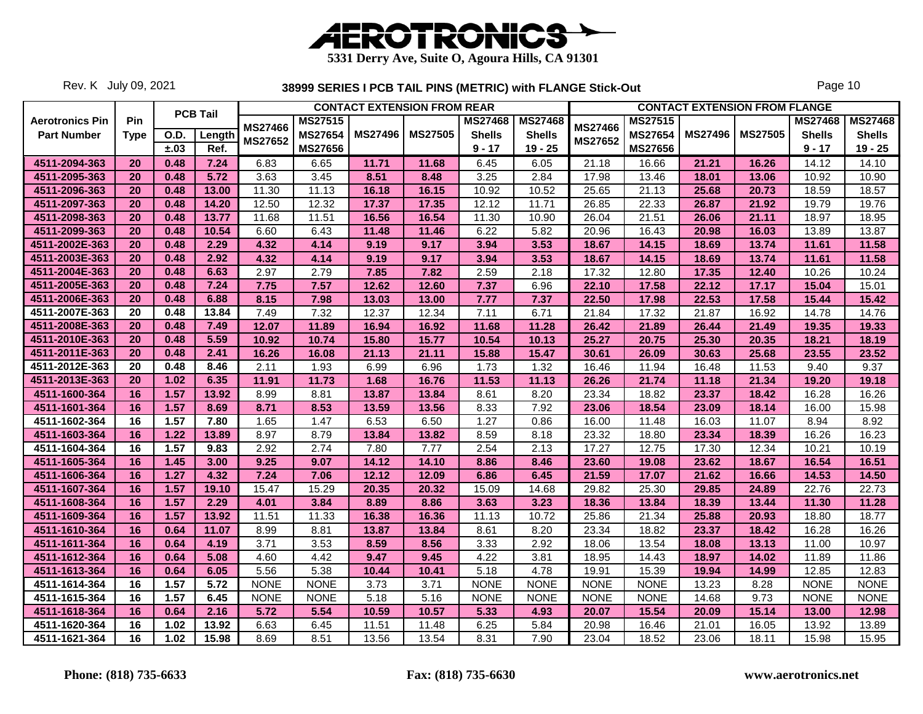

Rev. K July 09, 2021

|                        |             |      | <b>PCB Tail</b> |                |                |                | <b>CONTACT EXTENSION FROM REAR</b> |                |                |                |                |                | <b>CONTACT EXTENSION FROM FLANGE</b> |                |                |
|------------------------|-------------|------|-----------------|----------------|----------------|----------------|------------------------------------|----------------|----------------|----------------|----------------|----------------|--------------------------------------|----------------|----------------|
| <b>Aerotronics Pin</b> | Pin         |      |                 | <b>MS27466</b> | <b>MS27515</b> |                |                                    | <b>MS27468</b> | <b>MS27468</b> | <b>MS27466</b> | <b>MS27515</b> |                |                                      | <b>MS27468</b> | <b>MS27468</b> |
| <b>Part Number</b>     | <b>Type</b> | O.D. | Length          |                | <b>MS27654</b> | <b>MS27496</b> | <b>MS27505</b>                     | <b>Shells</b>  | <b>Shells</b>  | MS27652        | MS27654        | <b>MS27496</b> | <b>MS27505</b>                       | <b>Shells</b>  | <b>Shells</b>  |
|                        |             | ±.03 | Ref.            | <b>MS27652</b> | <b>MS27656</b> |                |                                    | $9 - 17$       | $19 - 25$      |                | <b>MS27656</b> |                |                                      | $9 - 17$       | $19 - 25$      |
| 4511-2094-363          | 20          | 0.48 | 7.24            | 6.83           | 6.65           | 11.71          | 11.68                              | 6.45           | 6.05           | 21.18          | 16.66          | 21.21          | 16.26                                | 14.12          | 14.10          |
| 4511-2095-363          | 20          | 0.48 | 5.72            | 3.63           | 3.45           | 8.51           | 8.48                               | 3.25           | 2.84           | 17.98          | 13.46          | 18.01          | 13.06                                | 10.92          | 10.90          |
| 4511-2096-363          | 20          | 0.48 | 13.00           | 11.30          | 11.13          | 16.18          | 16.15                              | 10.92          | 10.52          | 25.65          | 21.13          | 25.68          | 20.73                                | 18.59          | 18.57          |
| 4511-2097-363          | 20          | 0.48 | 14.20           | 12.50          | 12.32          | 17.37          | 17.35                              | 12.12          | 11.71          | 26.85          | 22.33          | 26.87          | 21.92                                | 19.79          | 19.76          |
| 4511-2098-363          | 20          | 0.48 | 13.77           | 11.68          | 11.51          | 16.56          | 16.54                              | 11.30          | 10.90          | 26.04          | 21.51          | 26.06          | 21.11                                | 18.97          | 18.95          |
| 4511-2099-363          | 20          | 0.48 | 10.54           | 6.60           | 6.43           | 11.48          | 11.46                              | 6.22           | 5.82           | 20.96          | 16.43          | 20.98          | 16.03                                | 13.89          | 13.87          |
| 4511-2002E-363         | 20          | 0.48 | 2.29            | 4.32           | 4.14           | 9.19           | 9.17                               | 3.94           | 3.53           | 18.67          | 14.15          | 18.69          | 13.74                                | 11.61          | 11.58          |
| 4511-2003E-363         | 20          | 0.48 | 2.92            | 4.32           | 4.14           | 9.19           | 9.17                               | 3.94           | 3.53           | 18.67          | 14.15          | 18.69          | 13.74                                | 11.61          | 11.58          |
| 4511-2004E-363         | 20          | 0.48 | 6.63            | 2.97           | 2.79           | 7.85           | 7.82                               | 2.59           | 2.18           | 17.32          | 12.80          | 17.35          | 12.40                                | 10.26          | 10.24          |
| 4511-2005E-363         | 20          | 0.48 | 7.24            | 7.75           | 7.57           | 12.62          | 12.60                              | 7.37           | 6.96           | 22.10          | 17.58          | 22.12          | 17.17                                | 15.04          | 15.01          |
| 4511-2006E-363         | 20          | 0.48 | 6.88            | 8.15           | 7.98           | 13.03          | 13.00                              | 7.77           | 7.37           | 22.50          | 17.98          | 22.53          | 17.58                                | 15.44          | 15.42          |
| 4511-2007E-363         | 20          | 0.48 | 13.84           | 7.49           | 7.32           | 12.37          | 12.34                              | 7.11           | 6.71           | 21.84          | 17.32          | 21.87          | 16.92                                | 14.78          | 14.76          |
| 4511-2008E-363         | 20          | 0.48 | 7.49            | 12.07          | 11.89          | 16.94          | 16.92                              | 11.68          | 11.28          | 26.42          | 21.89          | 26.44          | 21.49                                | 19.35          | 19.33          |
| 4511-2010E-363         | 20          | 0.48 | 5.59            | 10.92          | 10.74          | 15.80          | 15.77                              | 10.54          | 10.13          | 25.27          | 20.75          | 25.30          | 20.35                                | 18.21          | 18.19          |
| 4511-2011E-363         | 20          | 0.48 | 2.41            | 16.26          | 16.08          | 21.13          | 21.11                              | 15.88          | 15.47          | 30.61          | 26.09          | 30.63          | 25.68                                | 23.55          | 23.52          |
| 4511-2012E-363         | 20          | 0.48 | 8.46            | 2.11           | 1.93           | 6.99           | 6.96                               | 1.73           | 1.32           | 16.46          | 11.94          | 16.48          | 11.53                                | 9.40           | 9.37           |
| 4511-2013E-363         | 20          | 1.02 | 6.35            | 11.91          | 11.73          | 1.68           | 16.76                              | 11.53          | 11.13          | 26.26          | 21.74          | 11.18          | 21.34                                | 19.20          | 19.18          |
| 4511-1600-364          | 16          | 1.57 | 13.92           | 8.99           | 8.81           | 13.87          | 13.84                              | 8.61           | 8.20           | 23.34          | 18.82          | 23.37          | 18.42                                | 16.28          | 16.26          |
| 4511-1601-364          | 16          | 1.57 | 8.69            | 8.71           | 8.53           | 13.59          | 13.56                              | 8.33           | 7.92           | 23.06          | 18.54          | 23.09          | 18.14                                | 16.00          | 15.98          |
| 4511-1602-364          | 16          | 1.57 | 7.80            | 1.65           | 1.47           | 6.53           | 6.50                               | 1.27           | 0.86           | 16.00          | 11.48          | 16.03          | 11.07                                | 8.94           | 8.92           |
| 4511-1603-364          | 16          | 1.22 | 13.89           | 8.97           | 8.79           | 13.84          | 13.82                              | 8.59           | 8.18           | 23.32          | 18.80          | 23.34          | 18.39                                | 16.26          | 16.23          |
| 4511-1604-364          | 16          | 1.57 | 9.83            | 2.92           | 2.74           | 7.80           | 7.77                               | 2.54           | 2.13           | 17.27          | 12.75          | 17.30          | 12.34                                | 10.21          | 10.19          |
| 4511-1605-364          | 16          | 1.45 | 3.00            | 9.25           | 9.07           | 14.12          | 14.10                              | 8.86           | 8.46           | 23.60          | 19.08          | 23.62          | 18.67                                | 16.54          | 16.51          |
| 4511-1606-364          | 16          | 1.27 | 4.32            | 7.24           | 7.06           | 12.12          | 12.09                              | 6.86           | 6.45           | 21.59          | 17.07          | 21.62          | 16.66                                | 14.53          | 14.50          |
| 4511-1607-364          | 16          | 1.57 | 19.10           | 15.47          | 15.29          | 20.35          | 20.32                              | 15.09          | 14.68          | 29.82          | 25.30          | 29.85          | 24.89                                | 22.76          | 22.73          |
| 4511-1608-364          | 16          | 1.57 | 2.29            | 4.01           | 3.84           | 8.89           | 8.86                               | 3.63           | 3.23           | 18.36          | 13.84          | 18.39          | 13.44                                | 11.30          | 11.28          |
| 4511-1609-364          | 16          | 1.57 | 13.92           | 11.51          | 11.33          | 16.38          | 16.36                              | 11.13          | 10.72          | 25.86          | 21.34          | 25.88          | 20.93                                | 18.80          | 18.77          |
| 4511-1610-364          | 16          | 0.64 | 11.07           | 8.99           | 8.81           | 13.87          | 13.84                              | 8.61           | 8.20           | 23.34          | 18.82          | 23.37          | 18.42                                | 16.28          | 16.26          |
| 4511-1611-364          | 16          | 0.64 | 4.19            | 3.71           | 3.53           | 8.59           | 8.56                               | 3.33           | 2.92           | 18.06          | 13.54          | 18.08          | 13.13                                | 11.00          | 10.97          |
| 4511-1612-364          | 16          | 0.64 | 5.08            | 4.60           | 4.42           | 9.47           | 9.45                               | 4.22           | 3.81           | 18.95          | 14.43          | 18.97          | 14.02                                | 11.89          | 11.86          |
| 4511-1613-364          | 16          | 0.64 | 6.05            | 5.56           | 5.38           | 10.44          | 10.41                              | 5.18           | 4.78           | 19.91          | 15.39          | 19.94          | 14.99                                | 12.85          | 12.83          |
| 4511-1614-364          | 16          | 1.57 | 5.72            | <b>NONE</b>    | <b>NONE</b>    | 3.73           | 3.71                               | <b>NONE</b>    | <b>NONE</b>    | <b>NONE</b>    | <b>NONE</b>    | 13.23          | 8.28                                 | <b>NONE</b>    | <b>NONE</b>    |
| 4511-1615-364          | 16          | 1.57 | 6.45            | <b>NONE</b>    | <b>NONE</b>    | 5.18           | 5.16                               | <b>NONE</b>    | <b>NONE</b>    | <b>NONE</b>    | <b>NONE</b>    | 14.68          | 9.73                                 | <b>NONE</b>    | <b>NONE</b>    |
| 4511-1618-364          | 16          | 0.64 | 2.16            | 5.72           | 5.54           | 10.59          | 10.57                              | 5.33           | 4.93           | 20.07          | 15.54          | 20.09          | 15.14                                | 13.00          | 12.98          |
| 4511-1620-364          | 16          | 1.02 | 13.92           | 6.63           | 6.45           | 11.51          | 11.48                              | 6.25           | 5.84           | 20.98          | 16.46          | 21.01          | 16.05                                | 13.92          | 13.89          |
| 4511-1621-364          | 16          | 1.02 | 15.98           | 8.69           | 8.51           | 13.56          | 13.54                              | 8.31           | 7.90           | 23.04          | 18.52          | 23.06          | 18.11                                | 15.98          | 15.95          |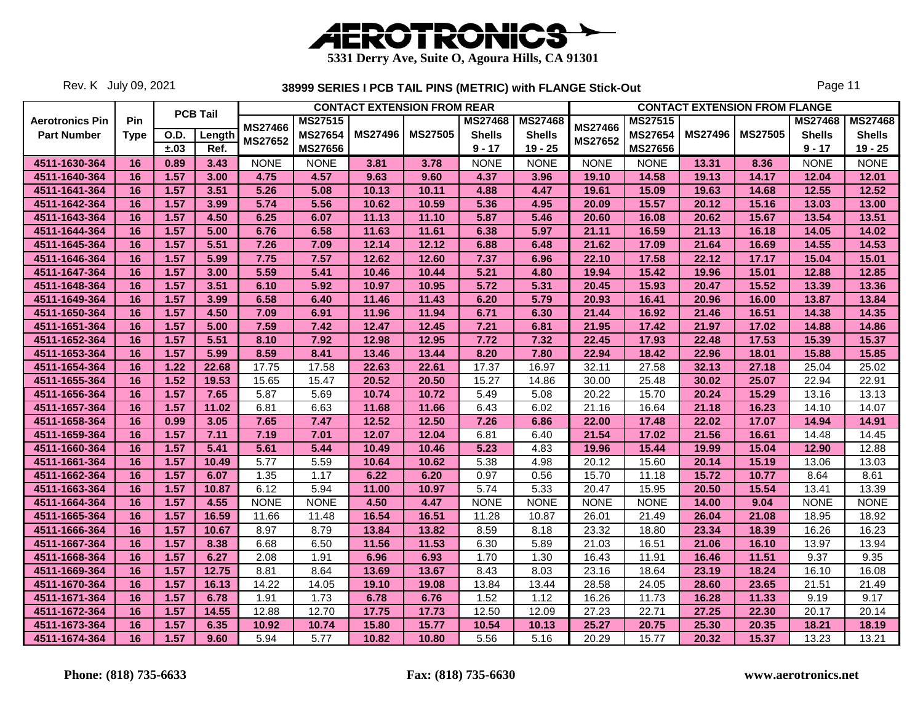

Rev. K July 09, 2021

|                        |             |      |                 |                |                |                | <b>CONTACT EXTENSION FROM REAR</b> |                |                |                |                     |                | <b>CONTACT EXTENSION FROM FLANGE</b> |                |                |
|------------------------|-------------|------|-----------------|----------------|----------------|----------------|------------------------------------|----------------|----------------|----------------|---------------------|----------------|--------------------------------------|----------------|----------------|
| <b>Aerotronics Pin</b> | Pin         |      | <b>PCB Tail</b> | <b>MS27466</b> | <b>MS27515</b> |                |                                    | <b>MS27468</b> | <b>MS27468</b> | <b>MS27466</b> | <b>MS27515</b>      |                |                                      | <b>MS27468</b> | <b>MS27468</b> |
| <b>Part Number</b>     | <b>Type</b> | O.D. | Length          |                | <b>MS27654</b> | <b>MS27496</b> | <b>MS27505</b>                     | <b>Shells</b>  | <b>Shells</b>  |                | MS27654             | <b>MS27496</b> | <b>MS27505</b>                       | <b>Shells</b>  | <b>Shells</b>  |
|                        |             | ±.03 | Ref.            | MS27652        | <b>MS27656</b> |                |                                    | $9 - 17$       | $19 - 25$      | MS27652        | <b>MS27656</b>      |                |                                      | $9 - 17$       | $19 - 25$      |
| 4511-1630-364          | 16          | 0.89 | 3.43            | <b>NONE</b>    | <b>NONE</b>    | 3.81           | 3.78                               | <b>NONE</b>    | <b>NONE</b>    | <b>NONE</b>    | <b>NONE</b>         | 13.31          | 8.36                                 | <b>NONE</b>    | <b>NONE</b>    |
| 4511-1640-364          | 16          | 1.57 | 3.00            | 4.75           | 4.57           | 9.63           | 9.60                               | 4.37           | 3.96           | 19.10          | 14.58               | 19.13          | 14.17                                | 12.04          | 12.01          |
| 4511-1641-364          | 16          | 1.57 | 3.51            | 5.26           | 5.08           | 10.13          | 10.11                              | 4.88           | 4.47           | 19.61          | 15.09               | 19.63          | 14.68                                | 12.55          | 12.52          |
| 4511-1642-364          | 16          | 1.57 | 3.99            | 5.74           | 5.56           | 10.62          | 10.59                              | 5.36           | 4.95           | 20.09          | 15.57               | 20.12          | 15.16                                | 13.03          | 13.00          |
| 4511-1643-364          | 16          | 1.57 | 4.50            | 6.25           | 6.07           | 11.13          | 11.10                              | 5.87           | 5.46           | 20.60          | 16.08               | 20.62          | 15.67                                | 13.54          | 13.51          |
| 4511-1644-364          | 16          | 1.57 | 5.00            | 6.76           | 6.58           | 11.63          | 11.61                              | 6.38           | 5.97           | 21.11          | 16.59               | 21.13          | 16.18                                | 14.05          | 14.02          |
| 4511-1645-364          | 16          | 1.57 | 5.51            | 7.26           | 7.09           | 12.14          | 12.12                              | 6.88           | 6.48           | 21.62          | 17.09               | 21.64          | 16.69                                | 14.55          | 14.53          |
| 4511-1646-364          | 16          | 1.57 | 5.99            | 7.75           | 7.57           | 12.62          | 12.60                              | 7.37           | 6.96           | 22.10          | 17.58               | 22.12          | 17.17                                | 15.04          | 15.01          |
| 4511-1647-364          | 16          | 1.57 | 3.00            | 5.59           | 5.41           | 10.46          | 10.44                              | 5.21           | 4.80           | 19.94          | 15.42               | 19.96          | 15.01                                | 12.88          | 12.85          |
| 4511-1648-364          | 16          | 1.57 | 3.51            | 6.10           | 5.92           | 10.97          | 10.95                              | 5.72           | 5.31           | 20.45          | 15.93               | 20.47          | 15.52                                | 13.39          | 13.36          |
| 4511-1649-364          | 16          | 1.57 | 3.99            | 6.58           | 6.40           | 11.46          | 11.43                              | 6.20           | 5.79           | 20.93          | 16.41               | 20.96          | 16.00                                | 13.87          | 13.84          |
| 4511-1650-364          | 16          | 1.57 | 4.50            | 7.09           | 6.91           | 11.96          | 11.94                              | 6.71           | 6.30           | 21.44          | 16.92               | 21.46          | 16.51                                | 14.38          | 14.35          |
| 4511-1651-364          | 16          | 1.57 | 5.00            | 7.59           | 7.42           | 12.47          | 12.45                              | 7.21           | 6.81           | 21.95          | 17.42               | 21.97          | 17.02                                | 14.88          | 14.86          |
| 4511-1652-364          | 16          | 1.57 | 5.51            | 8.10           | 7.92           | 12.98          | 12.95                              | 7.72           | 7.32           | 22.45          | 17.93               | 22.48          | 17.53                                | 15.39          | 15.37          |
| 4511-1653-364          | 16          | 1.57 | 5.99            | 8.59           | 8.41           | 13.46          | 13.44                              | 8.20           | 7.80           | 22.94          | 18.42               | 22.96          | 18.01                                | 15.88          | 15.85          |
| 4511-1654-364          | 16          | 1.22 | 22.68           | 17.75          | 17.58          | 22.63          | 22.61                              | 17.37          | 16.97          | 32.11          | 27.58               | 32.13          | 27.18                                | 25.04          | 25.02          |
| 4511-1655-364          | 16          | 1.52 | 19.53           | 15.65          | 15.47          | 20.52          | 20.50                              | 15.27          | 14.86          | 30.00          | $\overline{2}$ 5.48 | 30.02          | 25.07                                | 22.94          | 22.91          |
| 4511-1656-364          | 16          | 1.57 | 7.65            | 5.87           | 5.69           | 10.74          | 10.72                              | 5.49           | 5.08           | 20.22          | 15.70               | 20.24          | 15.29                                | 13.16          | 13.13          |
| 4511-1657-364          | 16          | 1.57 | 11.02           | 6.81           | 6.63           | 11.68          | 11.66                              | 6.43           | 6.02           | 21.16          | 16.64               | 21.18          | 16.23                                | 14.10          | 14.07          |
| 4511-1658-364          | 16          | 0.99 | 3.05            | 7.65           | 7.47           | 12.52          | 12.50                              | 7.26           | 6.86           | 22.00          | 17.48               | 22.02          | 17.07                                | 14.94          | 14.91          |
| 4511-1659-364          | 16          | 1.57 | 7.11            | 7.19           | 7.01           | 12.07          | 12.04                              | 6.81           | 6.40           | 21.54          | 17.02               | 21.56          | 16.61                                | 14.48          | 14.45          |
| 4511-1660-364          | 16          | 1.57 | 5.41            | 5.61           | 5.44           | 10.49          | 10.46                              | 5.23           | 4.83           | 19.96          | 15.44               | 19.99          | 15.04                                | 12.90          | 12.88          |
| 4511-1661-364          | 16          | 1.57 | 10.49           | 5.77           | 5.59           | 10.64          | 10.62                              | 5.38           | 4.98           | 20.12          | 15.60               | 20.14          | 15.19                                | 13.06          | 13.03          |
| 4511-1662-364          | 16          | 1.57 | 6.07            | 1.35           | 1.17           | 6.22           | 6.20                               | 0.97           | 0.56           | 15.70          | 11.18               | 15.72          | 10.77                                | 8.64           | 8.61           |
| 4511-1663-364          | 16          | 1.57 | 10.87           | 6.12           | 5.94           | 11.00          | 10.97                              | 5.74           | 5.33           | 20.47          | 15.95               | 20.50          | 15.54                                | 13.41          | 13.39          |
| 4511-1664-364          | 16          | 1.57 | 4.55            | <b>NONE</b>    | <b>NONE</b>    | 4.50           | 4.47                               | <b>NONE</b>    | <b>NONE</b>    | <b>NONE</b>    | <b>NONE</b>         | 14.00          | 9.04                                 | <b>NONE</b>    | <b>NONE</b>    |
| 4511-1665-364          | 16          | 1.57 | 16.59           | 11.66          | 11.48          | 16.54          | 16.51                              | 11.28          | 10.87          | 26.01          | 21.49               | 26.04          | 21.08                                | 18.95          | 18.92          |
| 4511-1666-364          | 16          | 1.57 | 10.67           | 8.97           | 8.79           | 13.84          | 13.82                              | 8.59           | 8.18           | 23.32          | 18.80               | 23.34          | 18.39                                | 16.26          | 16.23          |
| 4511-1667-364          | 16          | 1.57 | 8.38            | 6.68           | 6.50           | 11.56          | 11.53                              | 6.30           | 5.89           | 21.03          | 16.51               | 21.06          | 16.10                                | 13.97          | 13.94          |
| 4511-1668-364          | 16          | 1.57 | 6.27            | 2.08           | 1.91           | 6.96           | 6.93                               | 1.70           | 1.30           | 16.43          | 11.91               | 16.46          | 11.51                                | 9.37           | 9.35           |
| 4511-1669-364          | 16          | 1.57 | 12.75           | 8.81           | 8.64           | 13.69          | 13.67                              | 8.43           | 8.03           | 23.16          | 18.64               | 23.19          | 18.24                                | 16.10          | 16.08          |
| 4511-1670-364          | 16          | 1.57 | 16.13           | 14.22          | 14.05          | 19.10          | 19.08                              | 13.84          | 13.44          | 28.58          | 24.05               | 28.60          | 23.65                                | 21.51          | 21.49          |
| 4511-1671-364          | 16          | 1.57 | 6.78            | 1.91           | 1.73           | 6.78           | 6.76                               | 1.52           | 1.12           | 16.26          | 11.73               | 16.28          | 11.33                                | 9.19           | 9.17           |
| 4511-1672-364          | 16          | 1.57 | 14.55           | 12.88          | 12.70          | 17.75          | 17.73                              | 12.50          | 12.09          | 27.23          | 22.71               | 27.25          | 22.30                                | 20.17          | 20.14          |
| 4511-1673-364          | 16          | 1.57 | 6.35            | 10.92          | 10.74          | 15.80          | 15.77                              | 10.54          | 10.13          | 25.27          | 20.75               | 25.30          | 20.35                                | 18.21          | 18.19          |
| 4511-1674-364          | 16          | 1.57 | 9.60            | 5.94           | 5.77           | 10.82          | 10.80                              | 5.56           | 5.16           | 20.29          | 15.77               | 20.32          | 15.37                                | 13.23          | 13.21          |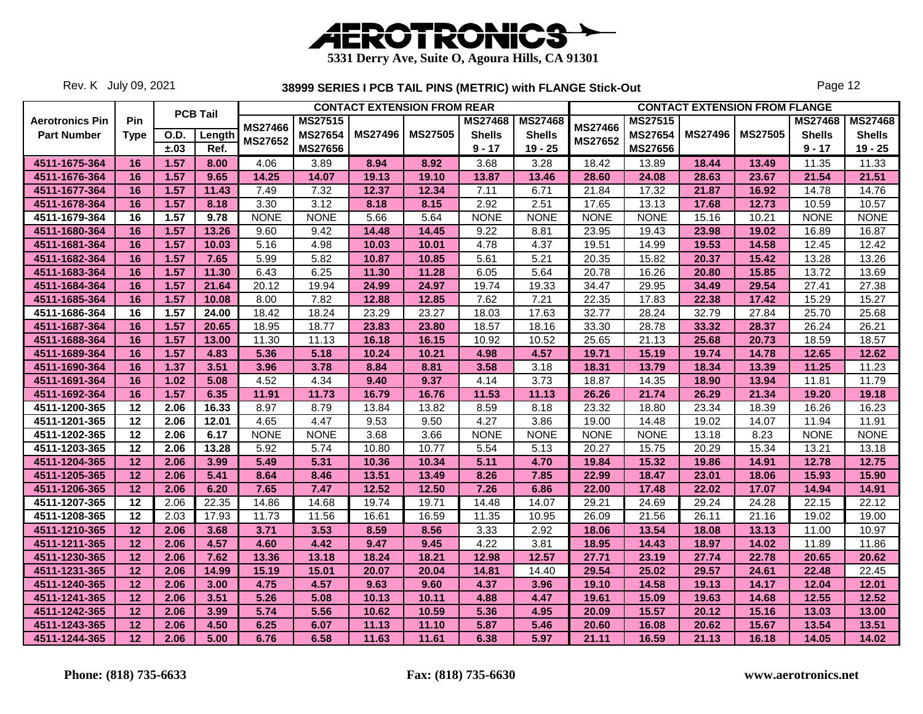

Rev. K July 09, 2021

|                        |                 |      | <b>PCB Tail</b> |                |                |                | <b>CONTACT EXTENSION FROM REAR</b> |                |                |                |                |                | <b>CONTACT EXTENSION FROM FLANGE</b> |                |                |
|------------------------|-----------------|------|-----------------|----------------|----------------|----------------|------------------------------------|----------------|----------------|----------------|----------------|----------------|--------------------------------------|----------------|----------------|
| <b>Aerotronics Pin</b> | Pin             |      |                 | <b>MS27466</b> | MS27515        |                |                                    | <b>MS27468</b> | <b>MS27468</b> | <b>MS27466</b> | <b>MS27515</b> |                |                                      | <b>MS27468</b> | <b>MS27468</b> |
| <b>Part Number</b>     | <b>Type</b>     | O.D. | Length          | MS27652        | <b>MS27654</b> | <b>MS27496</b> | <b>MS27505</b>                     | <b>Shells</b>  | <b>Shells</b>  | MS27652        | MS27654        | <b>MS27496</b> | <b>MS27505</b>                       | <b>Shells</b>  | <b>Shells</b>  |
|                        |                 | ±.03 | Ref.            |                | <b>MS27656</b> |                |                                    | $9 - 17$       | $19 - 25$      |                | <b>MS27656</b> |                |                                      | $9 - 17$       | $19 - 25$      |
| 4511-1675-364          | 16              | 1.57 | 8.00            | 4.06           | 3.89           | 8.94           | 8.92                               | 3.68           | 3.28           | 18.42          | 13.89          | 18.44          | 13.49                                | 11.35          | 11.33          |
| 4511-1676-364          | 16              | 1.57 | 9.65            | 14.25          | 14.07          | 19.13          | 19.10                              | 13.87          | 13.46          | 28.60          | 24.08          | 28.63          | 23.67                                | 21.54          | 21.51          |
| 4511-1677-364          | 16              | 1.57 | 11.43           | 7.49           | 7.32           | 12.37          | 12.34                              | 7.11           | 6.71           | 21.84          | 17.32          | 21.87          | 16.92                                | 14.78          | 14.76          |
| 4511-1678-364          | 16              | 1.57 | 8.18            | 3.30           | 3.12           | 8.18           | 8.15                               | 2.92           | 2.51           | 17.65          | 13.13          | 17.68          | 12.73                                | 10.59          | 10.57          |
| 4511-1679-364          | 16              | 1.57 | 9.78            | <b>NONE</b>    | <b>NONE</b>    | 5.66           | 5.64                               | <b>NONE</b>    | <b>NONE</b>    | <b>NONE</b>    | <b>NONE</b>    | 15.16          | 10.21                                | <b>NONE</b>    | <b>NONE</b>    |
| 4511-1680-364          | 16              | 1.57 | 13.26           | 9.60           | 9.42           | 14.48          | 14.45                              | 9.22           | 8.81           | 23.95          | 19.43          | 23.98          | 19.02                                | 16.89          | 16.87          |
| 4511-1681-364          | 16              | 1.57 | 10.03           | 5.16           | 4.98           | 10.03          | 10.01                              | 4.78           | 4.37           | 19.51          | 14.99          | 19.53          | 14.58                                | 12.45          | 12.42          |
| 4511-1682-364          | 16              | 1.57 | 7.65            | 5.99           | 5.82           | 10.87          | 10.85                              | 5.61           | 5.21           | 20.35          | 15.82          | 20.37          | 15.42                                | 13.28          | 13.26          |
| 4511-1683-364          | 16              | 1.57 | 11.30           | 6.43           | 6.25           | 11.30          | 11.28                              | 6.05           | 5.64           | 20.78          | 16.26          | 20.80          | 15.85                                | 13.72          | 13.69          |
| 4511-1684-364          | 16              | 1.57 | 21.64           | 20.12          | 19.94          | 24.99          | 24.97                              | 19.74          | 19.33          | 34.47          | 29.95          | 34.49          | 29.54                                | 27.41          | 27.38          |
| 4511-1685-364          | 16              | 1.57 | 10.08           | 8.00           | 7.82           | 12.88          | 12.85                              | 7.62           | 7.21           | 22.35          | 17.83          | 22.38          | 17.42                                | 15.29          | 15.27          |
| 4511-1686-364          | 16              | 1.57 | 24.00           | 18.42          | 18.24          | 23.29          | 23.27                              | 18.03          | 17.63          | 32.77          | 28.24          | 32.79          | 27.84                                | 25.70          | 25.68          |
| 4511-1687-364          | 16              | 1.57 | 20.65           | 18.95          | 18.77          | 23.83          | 23.80                              | 18.57          | 18.16          | 33.30          | 28.78          | 33.32          | 28.37                                | 26.24          | 26.21          |
| 4511-1688-364          | 16              | 1.57 | 13.00           | 11.30          | 11.13          | 16.18          | 16.15                              | 10.92          | 10.52          | 25.65          | 21.13          | 25.68          | 20.73                                | 18.59          | 18.57          |
| 4511-1689-364          | 16              | 1.57 | 4.83            | 5.36           | 5.18           | 10.24          | 10.21                              | 4.98           | 4.57           | 19.71          | 15.19          | 19.74          | 14.78                                | 12.65          | 12.62          |
| 4511-1690-364          | 16              | 1.37 | 3.51            | 3.96           | 3.78           | 8.84           | 8.81                               | 3.58           | 3.18           | 18.31          | 13.79          | 18.34          | 13.39                                | 11.25          | 11.23          |
| 4511-1691-364          | 16              | 1.02 | 5.08            | 4.52           | 4.34           | 9.40           | 9.37                               | 4.14           | 3.73           | 18.87          | 14.35          | 18.90          | 13.94                                | 11.81          | 11.79          |
| 4511-1692-364          | 16              | 1.57 | 6.35            | 11.91          | 11.73          | 16.79          | 16.76                              | 11.53          | 11.13          | 26.26          | 21.74          | 26.29          | 21.34                                | 19.20          | 19.18          |
| 4511-1200-365          | 12              | 2.06 | 16.33           | 8.97           | 8.79           | 13.84          | 13.82                              | 8.59           | 8.18           | 23.32          | 18.80          | 23.34          | 18.39                                | 16.26          | 16.23          |
| 4511-1201-365          | 12              | 2.06 | 12.01           | 4.65           | 4.47           | 9.53           | 9.50                               | 4.27           | 3.86           | 19.00          | 14.48          | 19.02          | 14.07                                | 11.94          | 11.91          |
| 4511-1202-365          | $\overline{12}$ | 2.06 | 6.17            | <b>NONE</b>    | <b>NONE</b>    | 3.68           | 3.66                               | <b>NONE</b>    | <b>NONE</b>    | <b>NONE</b>    | <b>NONE</b>    | 13.18          | 8.23                                 | <b>NONE</b>    | <b>NONE</b>    |
| 4511-1203-365          | $12 \,$         | 2.06 | 13.28           | 5.92           | 5.74           | 10.80          | 10.77                              | 5.54           | 5.13           | 20.27          | 15.75          | 20.29          | 15.34                                | 13.21          | 13.18          |
| 4511-1204-365          | 12              | 2.06 | 3.99            | 5.49           | 5.31           | 10.36          | 10.34                              | 5.11           | 4.70           | 19.84          | 15.32          | 19.86          | 14.91                                | 12.78          | 12.75          |
| 4511-1205-365          | 12              | 2.06 | 5.41            | 8.64           | 8.46           | 13.51          | 13.49                              | 8.26           | 7.85           | 22.99          | 18.47          | 23.01          | 18.06                                | 15.93          | 15.90          |
| 4511-1206-365          | 12              | 2.06 | 6.20            | 7.65           | 7.47           | 12.52          | 12.50                              | 7.26           | 6.86           | 22.00          | 17.48          | 22.02          | 17.07                                | 14.94          | 14.91          |
| 4511-1207-365          | 12              | 2.06 | 22.35           | 14.86          | 14.68          | 19.74          | 19.71                              | 14.48          | 14.07          | 29.21          | 24.69          | 29.24          | 24.28                                | 22.15          | 22.12          |
| 4511-1208-365          | 12              | 2.03 | 17.93           | 11.73          | 11.56          | 16.61          | 16.59                              | 11.35          | 10.95          | 26.09          | 21.56          | 26.11          | 21.16                                | 19.02          | 19.00          |
| 4511-1210-365          | 12              | 2.06 | 3.68            | 3.71           | 3.53           | 8.59           | 8.56                               | 3.33           | 2.92           | 18.06          | 13.54          | 18.08          | 13.13                                | 11.00          | 10.97          |
| 4511-1211-365          | 12              | 2.06 | 4.57            | 4.60           | 4.42           | 9.47           | 9.45                               | 4.22           | 3.81           | 18.95          | 14.43          | 18.97          | 14.02                                | 11.89          | 11.86          |
| 4511-1230-365          | 12              | 2.06 | 7.62            | 13.36          | 13.18          | 18.24          | 18.21                              | 12.98          | 12.57          | 27.71          | 23.19          | 27.74          | 22.78                                | 20.65          | 20.62          |
| 4511-1231-365          | 12              | 2.06 | 14.99           | 15.19          | 15.01          | 20.07          | 20.04                              | 14.81          | 14.40          | 29.54          | 25.02          | 29.57          | 24.61                                | 22.48          | 22.45          |
| 4511-1240-365          | 12              | 2.06 | 3.00            | 4.75           | 4.57           | 9.63           | 9.60                               | 4.37           | 3.96           | 19.10          | 14.58          | 19.13          | 14.17                                | 12.04          | 12.01          |
| 4511-1241-365          | 12              | 2.06 | 3.51            | 5.26           | 5.08           | 10.13          | 10.11                              | 4.88           | 4.47           | 19.61          | 15.09          | 19.63          | 14.68                                | 12.55          | 12.52          |
| 4511-1242-365          | 12              | 2.06 | 3.99            | 5.74           | 5.56           | 10.62          | 10.59                              | 5.36           | 4.95           | 20.09          | 15.57          | 20.12          | 15.16                                | 13.03          | 13.00          |
| 4511-1243-365          | 12              | 2.06 | 4.50            | 6.25           | 6.07           | 11.13          | 11.10                              | 5.87           | 5.46           | 20.60          | 16.08          | 20.62          | 15.67                                | 13.54          | 13.51          |
| 4511-1244-365          | 12              | 2.06 | 5.00            | 6.76           | 6.58           | 11.63          | 11.61                              | 6.38           | 5.97           | 21.11          | 16.59          | 21.13          | 16.18                                | 14.05          | 14.02          |